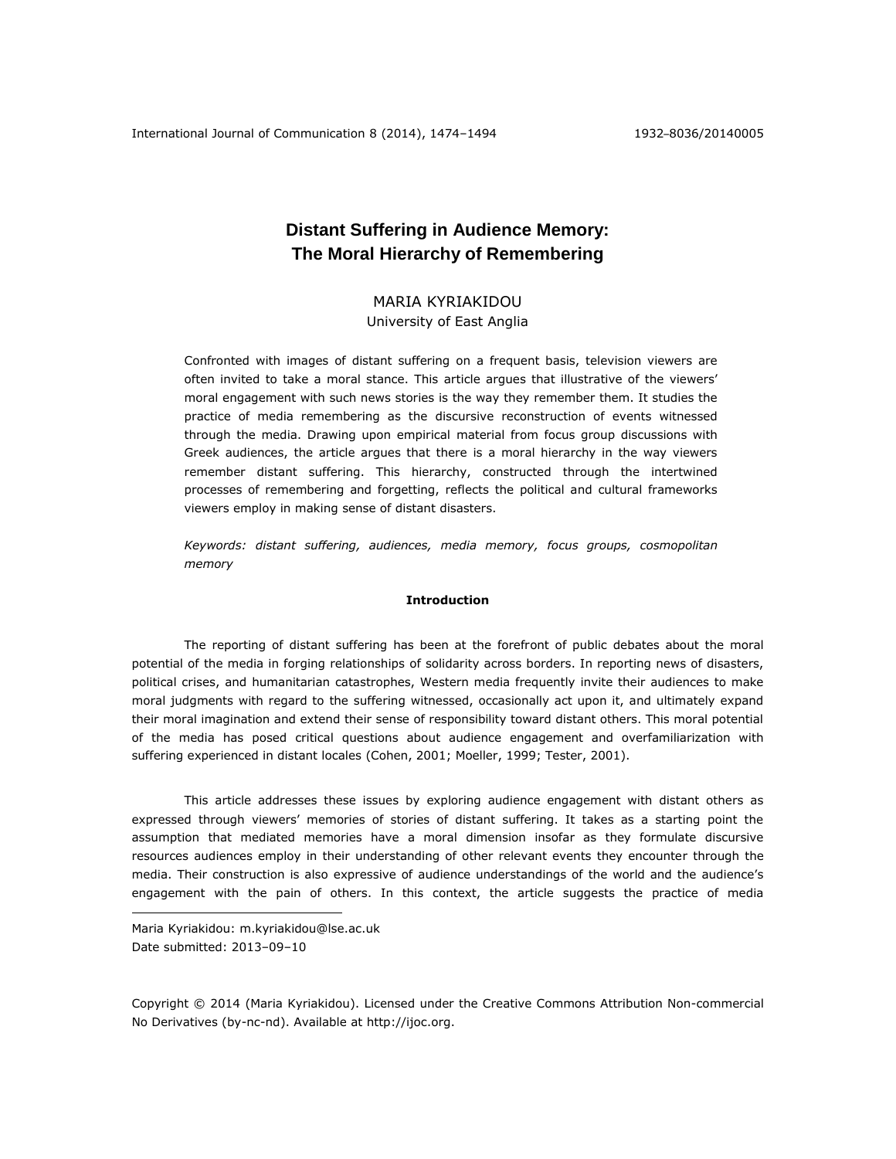# **Distant Suffering in Audience Memory: The Moral Hierarchy of Remembering**

## MARIA KYRIAKIDOU

University of East Anglia

Confronted with images of distant suffering on a frequent basis, television viewers are often invited to take a moral stance. This article argues that illustrative of the viewers' moral engagement with such news stories is the way they remember them. It studies the practice of media remembering as the discursive reconstruction of events witnessed through the media. Drawing upon empirical material from focus group discussions with Greek audiences, the article argues that there is a moral hierarchy in the way viewers remember distant suffering. This hierarchy, constructed through the intertwined processes of remembering and forgetting, reflects the political and cultural frameworks viewers employ in making sense of distant disasters.

*Keywords: distant suffering, audiences, media memory, focus groups, cosmopolitan memory*

## **Introduction**

The reporting of distant suffering has been at the forefront of public debates about the moral potential of the media in forging relationships of solidarity across borders. In reporting news of disasters, political crises, and humanitarian catastrophes, Western media frequently invite their audiences to make moral judgments with regard to the suffering witnessed, occasionally act upon it, and ultimately expand their moral imagination and extend their sense of responsibility toward distant others. This moral potential of the media has posed critical questions about audience engagement and overfamiliarization with suffering experienced in distant locales (Cohen, 2001; Moeller, 1999; Tester, 2001).

This article addresses these issues by exploring audience engagement with distant others as expressed through viewers' memories of stories of distant suffering. It takes as a starting point the assumption that mediated memories have a moral dimension insofar as they formulate discursive resources audiences employ in their understanding of other relevant events they encounter through the media. Their construction is also expressive of audience understandings of the world and the audience's engagement with the pain of others. In this context, the article suggests the practice of media

Maria Kyriakidou[: m.kyriakidou@lse.ac.uk](mailto:m.kyriakidou@lse.ac.uk) Date submitted: 2013–09–10

 $\overline{a}$ 

Copyright © 2014 (Maria Kyriakidou). Licensed under the Creative Commons Attribution Non-commercial No Derivatives (by-nc-nd). Available at [http://ijoc.org.](http://ijoc.org/)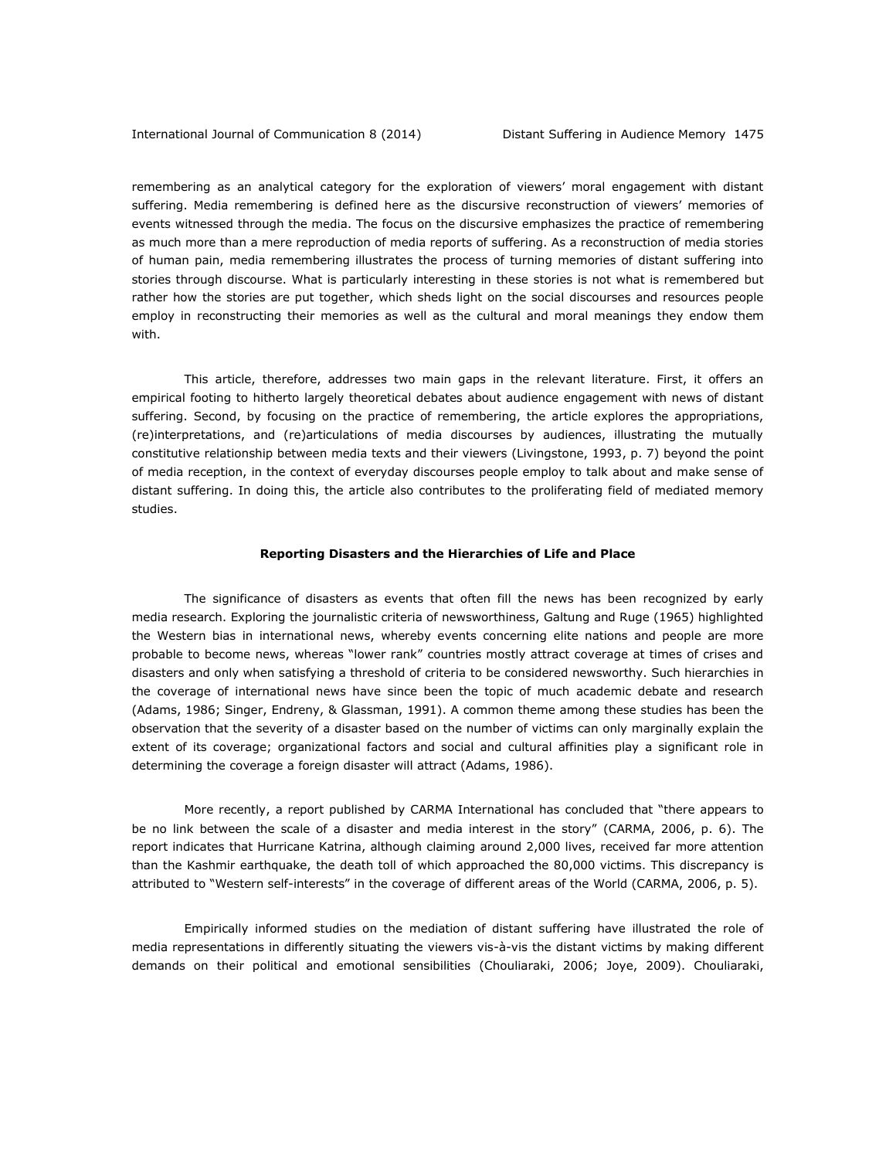remembering as an analytical category for the exploration of viewers' moral engagement with distant suffering. Media remembering is defined here as the discursive reconstruction of viewers' memories of events witnessed through the media. The focus on the discursive emphasizes the practice of remembering as much more than a mere reproduction of media reports of suffering. As a reconstruction of media stories of human pain, media remembering illustrates the process of turning memories of distant suffering into stories through discourse. What is particularly interesting in these stories is not what is remembered but rather how the stories are put together, which sheds light on the social discourses and resources people employ in reconstructing their memories as well as the cultural and moral meanings they endow them with.

This article, therefore, addresses two main gaps in the relevant literature. First, it offers an empirical footing to hitherto largely theoretical debates about audience engagement with news of distant suffering. Second, by focusing on the practice of remembering, the article explores the appropriations, (re)interpretations, and (re)articulations of media discourses by audiences, illustrating the mutually constitutive relationship between media texts and their viewers (Livingstone, 1993, p. 7) beyond the point of media reception, in the context of everyday discourses people employ to talk about and make sense of distant suffering. In doing this, the article also contributes to the proliferating field of mediated memory studies.

#### **Reporting Disasters and the Hierarchies of Life and Place**

The significance of disasters as events that often fill the news has been recognized by early media research. Exploring the journalistic criteria of newsworthiness, Galtung and Ruge (1965) highlighted the Western bias in international news, whereby events concerning elite nations and people are more probable to become news, whereas "lower rank" countries mostly attract coverage at times of crises and disasters and only when satisfying a threshold of criteria to be considered newsworthy. Such hierarchies in the coverage of international news have since been the topic of much academic debate and research (Adams, 1986; Singer, Endreny, & Glassman, 1991). A common theme among these studies has been the observation that the severity of a disaster based on the number of victims can only marginally explain the extent of its coverage; organizational factors and social and cultural affinities play a significant role in determining the coverage a foreign disaster will attract (Adams, 1986).

More recently, a report published by CARMA International has concluded that "there appears to be no link between the scale of a disaster and media interest in the story" (CARMA, 2006, p. 6). The report indicates that Hurricane Katrina, although claiming around 2,000 lives, received far more attention than the Kashmir earthquake, the death toll of which approached the 80,000 victims. This discrepancy is attributed to "Western self-interests" in the coverage of different areas of the World (CARMA, 2006, p. 5).

Empirically informed studies on the mediation of distant suffering have illustrated the role of media representations in differently situating the viewers vis-à-vis the distant victims by making different demands on their political and emotional sensibilities (Chouliaraki, 2006; Joye, 2009). Chouliaraki,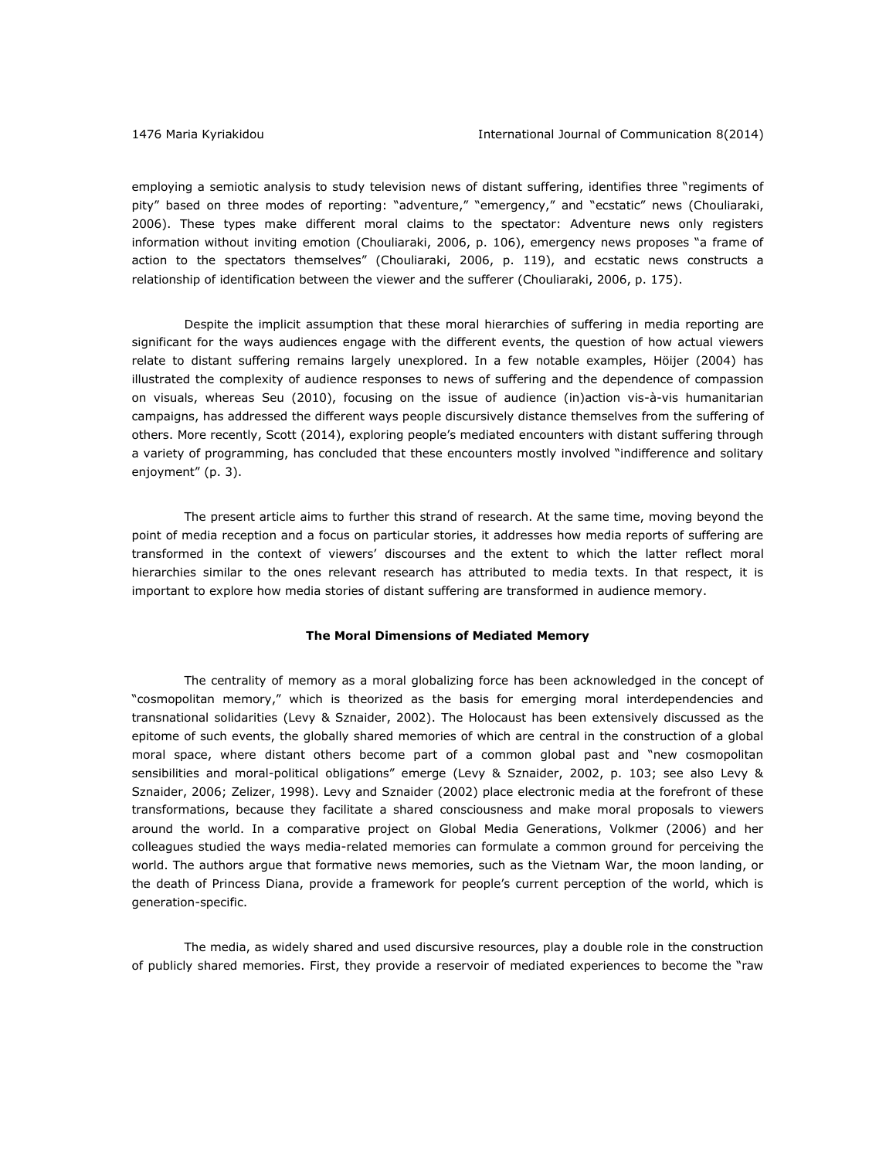employing a semiotic analysis to study television news of distant suffering, identifies three "regiments of pity" based on three modes of reporting: "adventure," "emergency," and "ecstatic" news (Chouliaraki, 2006). These types make different moral claims to the spectator: Adventure news only registers information without inviting emotion (Chouliaraki, 2006, p. 106), emergency news proposes "a frame of action to the spectators themselves" (Chouliaraki, 2006, p. 119), and ecstatic news constructs a relationship of identification between the viewer and the sufferer (Chouliaraki, 2006, p. 175).

Despite the implicit assumption that these moral hierarchies of suffering in media reporting are significant for the ways audiences engage with the different events, the question of how actual viewers relate to distant suffering remains largely unexplored. In a few notable examples, Höijer (2004) has illustrated the complexity of audience responses to news of suffering and the dependence of compassion on visuals, whereas Seu (2010), focusing on the issue of audience (in)action vis-à-vis humanitarian campaigns, has addressed the different ways people discursively distance themselves from the suffering of others. More recently, Scott (2014), exploring people's mediated encounters with distant suffering through a variety of programming, has concluded that these encounters mostly involved "indifference and solitary enjoyment" (p. 3).

The present article aims to further this strand of research. At the same time, moving beyond the point of media reception and a focus on particular stories, it addresses how media reports of suffering are transformed in the context of viewers' discourses and the extent to which the latter reflect moral hierarchies similar to the ones relevant research has attributed to media texts. In that respect, it is important to explore how media stories of distant suffering are transformed in audience memory.

## **The Moral Dimensions of Mediated Memory**

The centrality of memory as a moral globalizing force has been acknowledged in the concept of "cosmopolitan memory," which is theorized as the basis for emerging moral interdependencies and transnational solidarities (Levy & Sznaider, 2002). The Holocaust has been extensively discussed as the epitome of such events, the globally shared memories of which are central in the construction of a global moral space, where distant others become part of a common global past and "new cosmopolitan sensibilities and moral-political obligations" emerge (Levy & Sznaider, 2002, p. 103; see also Levy & Sznaider, 2006; Zelizer, 1998). Levy and Sznaider (2002) place electronic media at the forefront of these transformations, because they facilitate a shared consciousness and make moral proposals to viewers around the world. In a comparative project on Global Media Generations, Volkmer (2006) and her colleagues studied the ways media-related memories can formulate a common ground for perceiving the world. The authors argue that formative news memories, such as the Vietnam War, the moon landing, or the death of Princess Diana, provide a framework for people's current perception of the world, which is generation-specific.

The media, as widely shared and used discursive resources, play a double role in the construction of publicly shared memories. First, they provide a reservoir of mediated experiences to become the "raw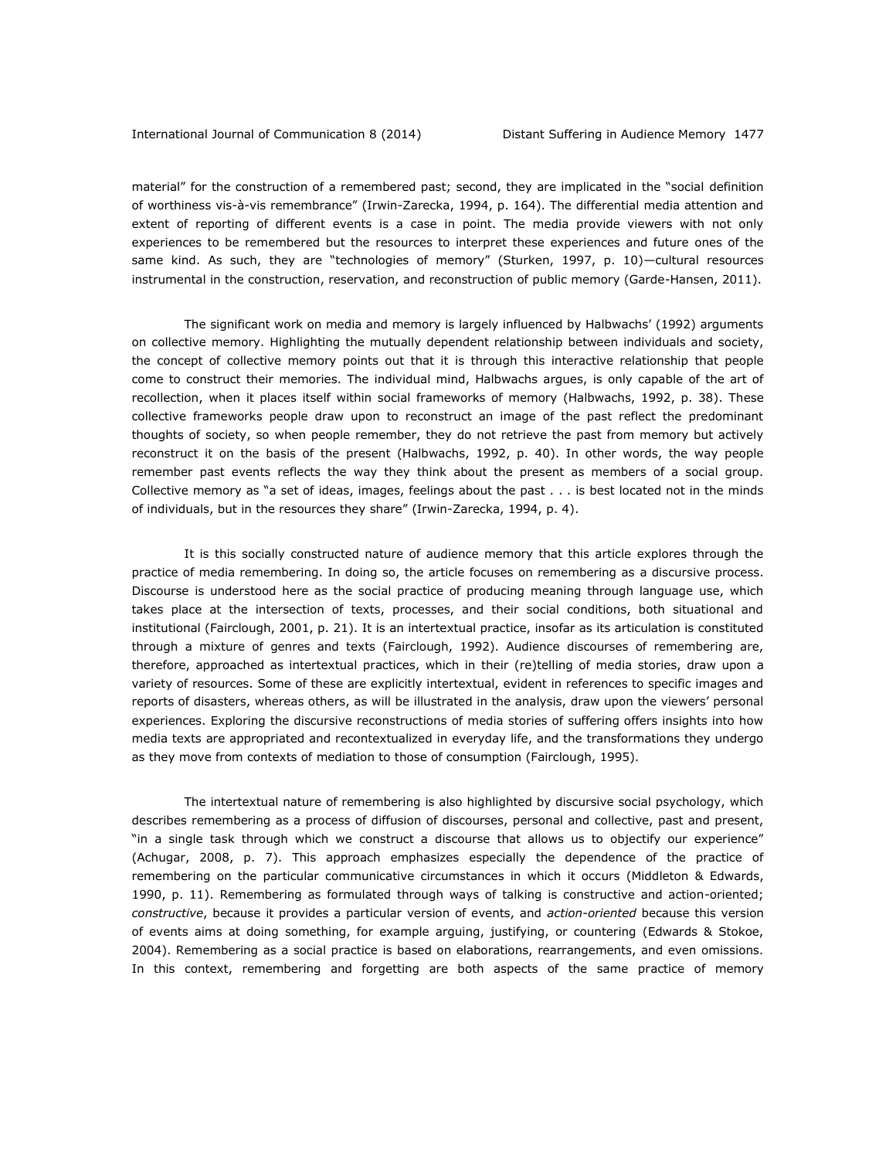#### International Journal of Communication 8 (2014) Distant Suffering in Audience Memory 1477

material" for the construction of a remembered past; second, they are implicated in the "social definition of worthiness vis-à-vis remembrance" (Irwin-Zarecka, 1994, p. 164). The differential media attention and extent of reporting of different events is a case in point. The media provide viewers with not only experiences to be remembered but the resources to interpret these experiences and future ones of the same kind. As such, they are "technologies of memory" (Sturken, 1997, p. 10)—cultural resources instrumental in the construction, reservation, and reconstruction of public memory (Garde-Hansen, 2011).

The significant work on media and memory is largely influenced by Halbwachs' (1992) arguments on collective memory. Highlighting the mutually dependent relationship between individuals and society, the concept of collective memory points out that it is through this interactive relationship that people come to construct their memories. The individual mind, Halbwachs argues, is only capable of the art of recollection, when it places itself within social frameworks of memory (Halbwachs, 1992, p. 38). These collective frameworks people draw upon to reconstruct an image of the past reflect the predominant thoughts of society, so when people remember, they do not retrieve the past from memory but actively reconstruct it on the basis of the present (Halbwachs, 1992, p. 40). In other words, the way people remember past events reflects the way they think about the present as members of a social group. Collective memory as "a set of ideas, images, feelings about the past . . . is best located not in the minds of individuals, but in the resources they share" (Irwin-Zarecka, 1994, p. 4).

It is this socially constructed nature of audience memory that this article explores through the practice of media remembering. In doing so, the article focuses on remembering as a discursive process. Discourse is understood here as the social practice of producing meaning through language use, which takes place at the intersection of texts, processes, and their social conditions, both situational and institutional (Fairclough, 2001, p. 21). It is an intertextual practice, insofar as its articulation is constituted through a mixture of genres and texts (Fairclough, 1992). Audience discourses of remembering are, therefore, approached as intertextual practices, which in their (re)telling of media stories, draw upon a variety of resources. Some of these are explicitly intertextual, evident in references to specific images and reports of disasters, whereas others, as will be illustrated in the analysis, draw upon the viewers' personal experiences. Exploring the discursive reconstructions of media stories of suffering offers insights into how media texts are appropriated and recontextualized in everyday life, and the transformations they undergo as they move from contexts of mediation to those of consumption (Fairclough, 1995).

The intertextual nature of remembering is also highlighted by discursive social psychology, which describes remembering as a process of diffusion of discourses, personal and collective, past and present, "in a single task through which we construct a discourse that allows us to objectify our experience" (Achugar, 2008, p. 7). This approach emphasizes especially the dependence of the practice of remembering on the particular communicative circumstances in which it occurs (Middleton & Edwards, 1990, p. 11). Remembering as formulated through ways of talking is constructive and action-oriented; *constructive*, because it provides a particular version of events, and *action-oriented* because this version of events aims at doing something, for example arguing, justifying, or countering (Edwards & Stokoe, 2004). Remembering as a social practice is based on elaborations, rearrangements, and even omissions. In this context, remembering and forgetting are both aspects of the same practice of memory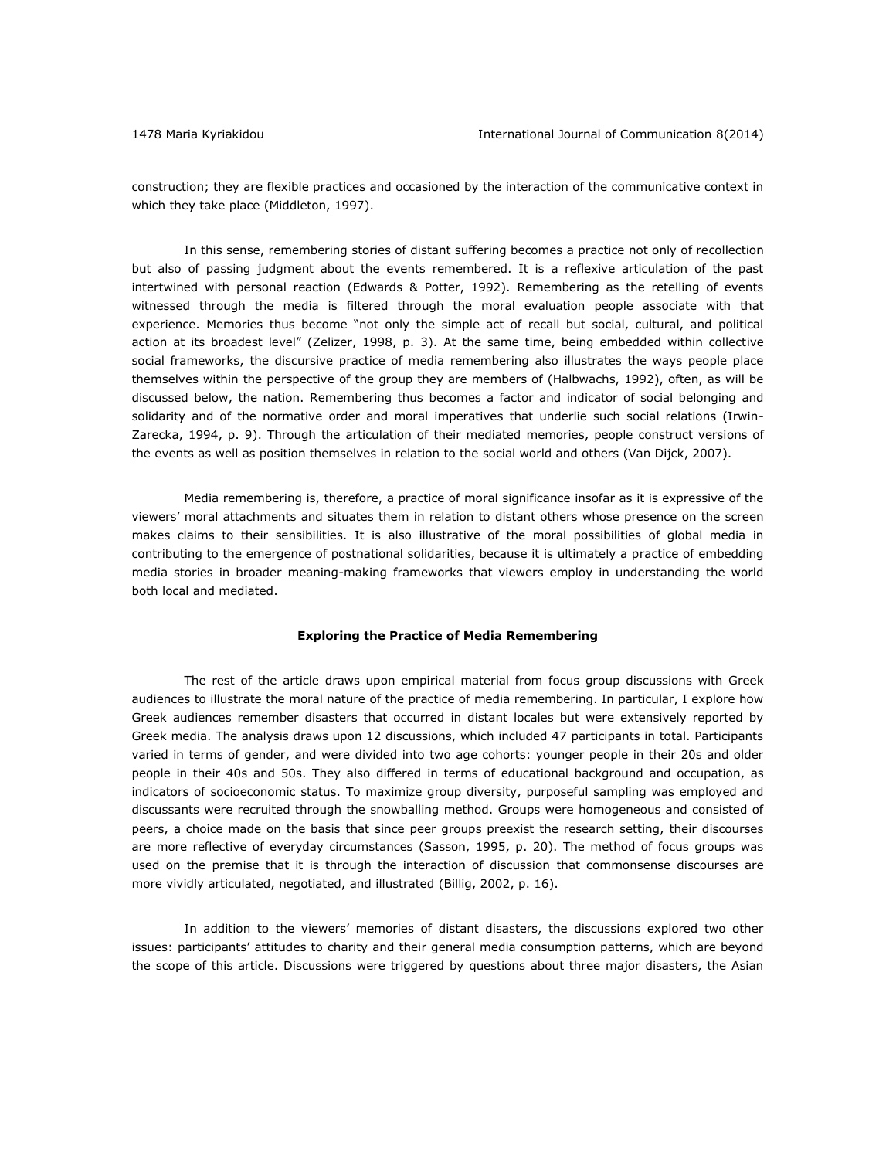construction; they are flexible practices and occasioned by the interaction of the communicative context in which they take place (Middleton, 1997).

In this sense, remembering stories of distant suffering becomes a practice not only of recollection but also of passing judgment about the events remembered. It is a reflexive articulation of the past intertwined with personal reaction (Edwards & Potter, 1992). Remembering as the retelling of events witnessed through the media is filtered through the moral evaluation people associate with that experience. Memories thus become "not only the simple act of recall but social, cultural, and political action at its broadest level" (Zelizer, 1998, p. 3). At the same time, being embedded within collective social frameworks, the discursive practice of media remembering also illustrates the ways people place themselves within the perspective of the group they are members of (Halbwachs, 1992), often, as will be discussed below, the nation. Remembering thus becomes a factor and indicator of social belonging and solidarity and of the normative order and moral imperatives that underlie such social relations (Irwin-Zarecka, 1994, p. 9). Through the articulation of their mediated memories, people construct versions of the events as well as position themselves in relation to the social world and others (Van Dijck, 2007).

Media remembering is, therefore, a practice of moral significance insofar as it is expressive of the viewers' moral attachments and situates them in relation to distant others whose presence on the screen makes claims to their sensibilities. It is also illustrative of the moral possibilities of global media in contributing to the emergence of postnational solidarities, because it is ultimately a practice of embedding media stories in broader meaning-making frameworks that viewers employ in understanding the world both local and mediated.

#### **Exploring the Practice of Media Remembering**

The rest of the article draws upon empirical material from focus group discussions with Greek audiences to illustrate the moral nature of the practice of media remembering. In particular, I explore how Greek audiences remember disasters that occurred in distant locales but were extensively reported by Greek media. The analysis draws upon 12 discussions, which included 47 participants in total. Participants varied in terms of gender, and were divided into two age cohorts: younger people in their 20s and older people in their 40s and 50s. They also differed in terms of educational background and occupation, as indicators of socioeconomic status. To maximize group diversity, purposeful sampling was employed and discussants were recruited through the snowballing method. Groups were homogeneous and consisted of peers, a choice made on the basis that since peer groups preexist the research setting, their discourses are more reflective of everyday circumstances (Sasson, 1995, p. 20). The method of focus groups was used on the premise that it is through the interaction of discussion that commonsense discourses are more vividly articulated, negotiated, and illustrated (Billig, 2002, p. 16).

In addition to the viewers' memories of distant disasters, the discussions explored two other issues: participants' attitudes to charity and their general media consumption patterns, which are beyond the scope of this article. Discussions were triggered by questions about three major disasters, the Asian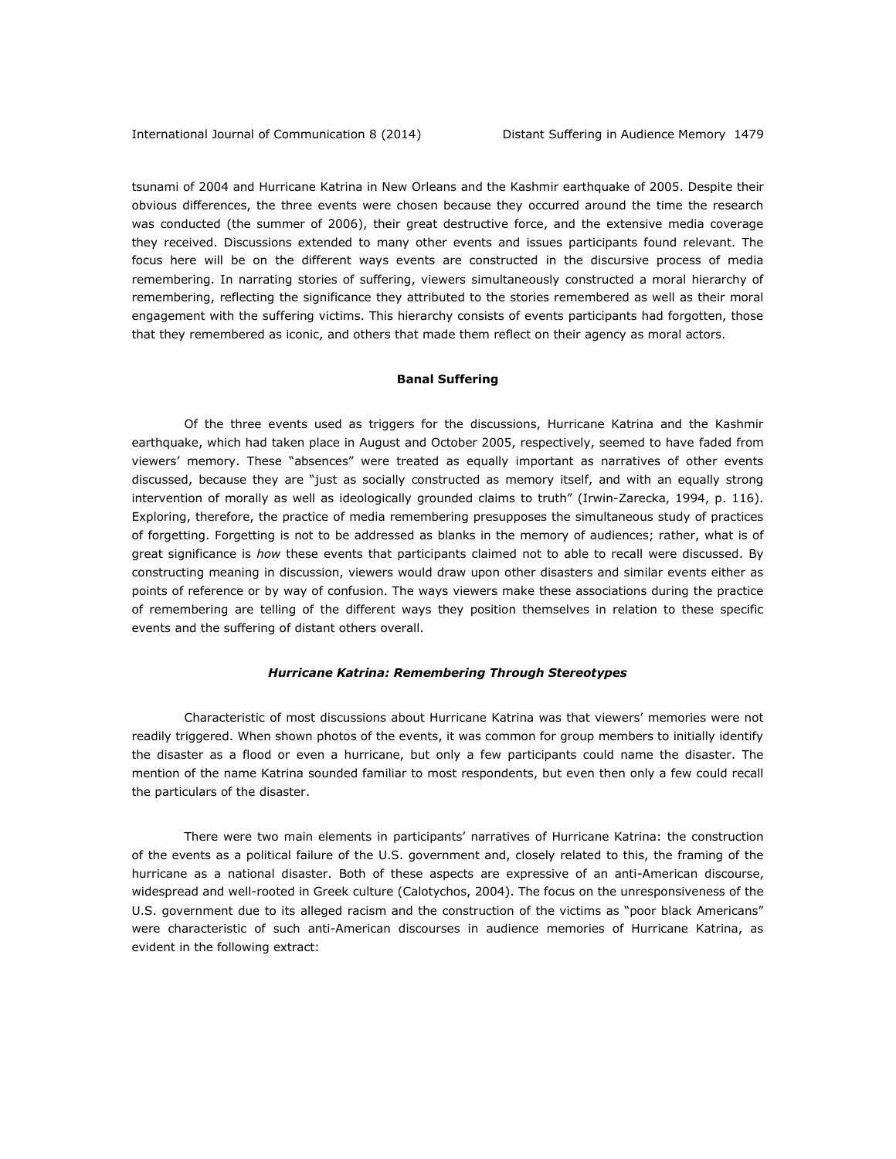tsunami of 2004 and Hurricane Katrina in New Orleans and the Kashmir earthquake of 2005. Despite their obvious differences, the three events were chosen because they occurred around the time the research was conducted (the summer of 2006), their great destructive force, and the extensive media coverage they received. Discussions extended to many other events and issues participants found relevant. The focus here will be on the different ways events are constructed in the discursive process of media remembering. In narrating stories of suffering, viewers simultaneously constructed a moral hierarchy of remembering, reflecting the significance they attributed to the stories remembered as well as their moral engagement with the suffering victims. This hierarchy consists of events participants had forgotten, those that they remembered as iconic, and others that made them reflect on their agency as moral actors.

## **Banal Suffering**

Of the three events used as triggers for the discussions, Hurricane Katrina and the Kashmir earthquake, which had taken place in August and October 2005, respectively, seemed to have faded from viewers' memory. These "absences" were treated as equally important as narratives of other events discussed, because they are "just as socially constructed as memory itself, and with an equally strong intervention of morally as well as ideologically grounded claims to truth" (Irwin-Zarecka, 1994, p. 116). Exploring, therefore, the practice of media remembering presupposes the simultaneous study of practices of forgetting. Forgetting is not to be addressed as blanks in the memory of audiences; rather, what is of great significance is *how* these events that participants claimed not to able to recall were discussed. By constructing meaning in discussion, viewers would draw upon other disasters and similar events either as points of reference or by way of confusion. The ways viewers make these associations during the practice of remembering are telling of the different ways they position themselves in relation to these specific events and the suffering of distant others overall.

#### *Hurricane Katrina: Remembering Through Stereotypes*

Characteristic of most discussions about Hurricane Katrina was that viewers' memories were not readily triggered. When shown photos of the events, it was common for group members to initially identify the disaster as a flood or even a hurricane, but only a few participants could name the disaster. The mention of the name Katrina sounded familiar to most respondents, but even then only a few could recall the particulars of the disaster.

There were two main elements in participants' narratives of Hurricane Katrina: the construction of the events as a political failure of the U.S. government and, closely related to this, the framing of the hurricane as a national disaster. Both of these aspects are expressive of an anti-American discourse, widespread and well-rooted in Greek culture (Calotychos, 2004). The focus on the unresponsiveness of the U.S. government due to its alleged racism and the construction of the victims as "poor black Americans" were characteristic of such anti-American discourses in audience memories of Hurricane Katrina, as evident in the following extract: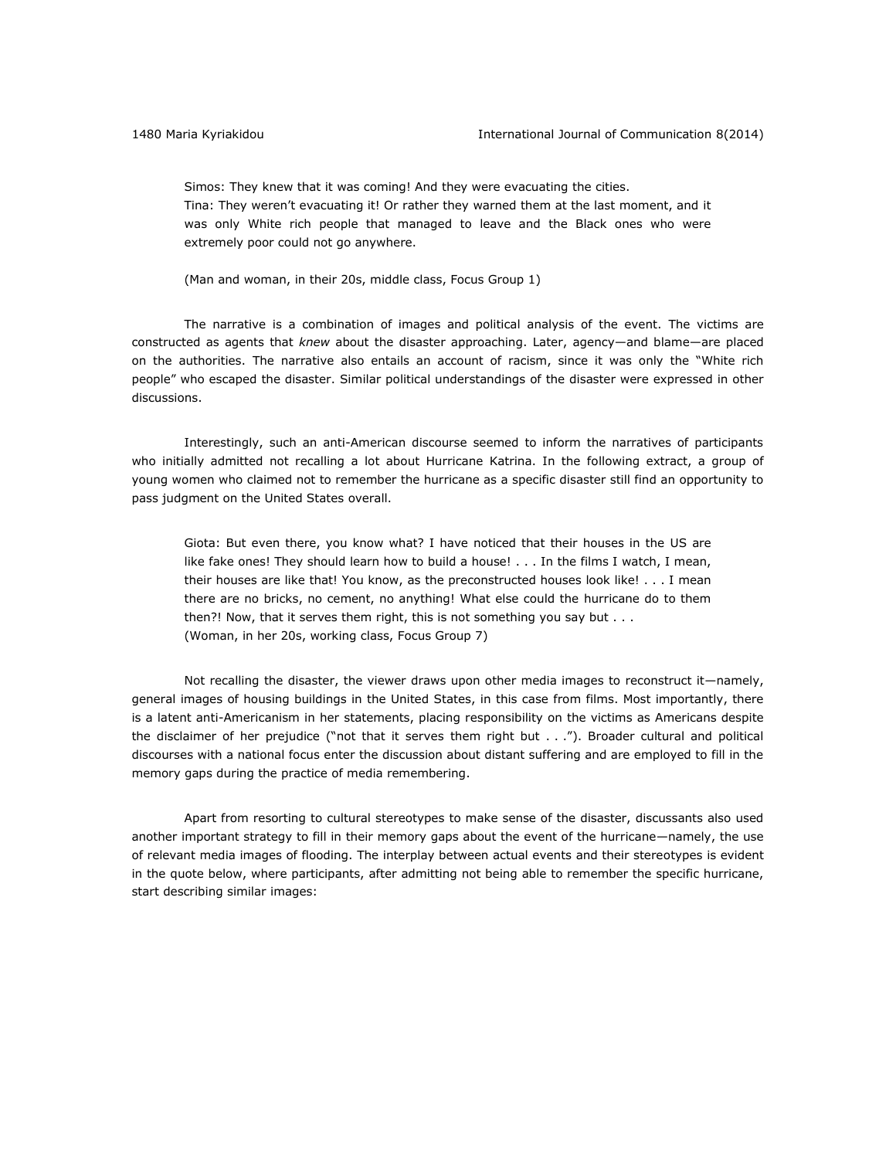Simos: They knew that it was coming! And they were evacuating the cities. Tina: They weren't evacuating it! Or rather they warned them at the last moment, and it was only White rich people that managed to leave and the Black ones who were extremely poor could not go anywhere.

(Man and woman, in their 20s, middle class, Focus Group 1)

The narrative is a combination of images and political analysis of the event. The victims are constructed as agents that *knew* about the disaster approaching. Later, agency—and blame—are placed on the authorities. The narrative also entails an account of racism, since it was only the "White rich people" who escaped the disaster. Similar political understandings of the disaster were expressed in other discussions.

Interestingly, such an anti-American discourse seemed to inform the narratives of participants who initially admitted not recalling a lot about Hurricane Katrina. In the following extract, a group of young women who claimed not to remember the hurricane as a specific disaster still find an opportunity to pass judgment on the United States overall.

Giota: But even there, you know what? I have noticed that their houses in the US are like fake ones! They should learn how to build a house! . . . In the films I watch, I mean, their houses are like that! You know, as the preconstructed houses look like! . . . I mean there are no bricks, no cement, no anything! What else could the hurricane do to them then?! Now, that it serves them right, this is not something you say but . . . (Woman, in her 20s, working class, Focus Group 7)

Not recalling the disaster, the viewer draws upon other media images to reconstruct it—namely, general images of housing buildings in the United States, in this case from films. Most importantly, there is a latent anti-Americanism in her statements, placing responsibility on the victims as Americans despite the disclaimer of her prejudice ("not that it serves them right but . . ."). Broader cultural and political discourses with a national focus enter the discussion about distant suffering and are employed to fill in the memory gaps during the practice of media remembering.

Apart from resorting to cultural stereotypes to make sense of the disaster, discussants also used another important strategy to fill in their memory gaps about the event of the hurricane—namely, the use of relevant media images of flooding. The interplay between actual events and their stereotypes is evident in the quote below, where participants, after admitting not being able to remember the specific hurricane, start describing similar images: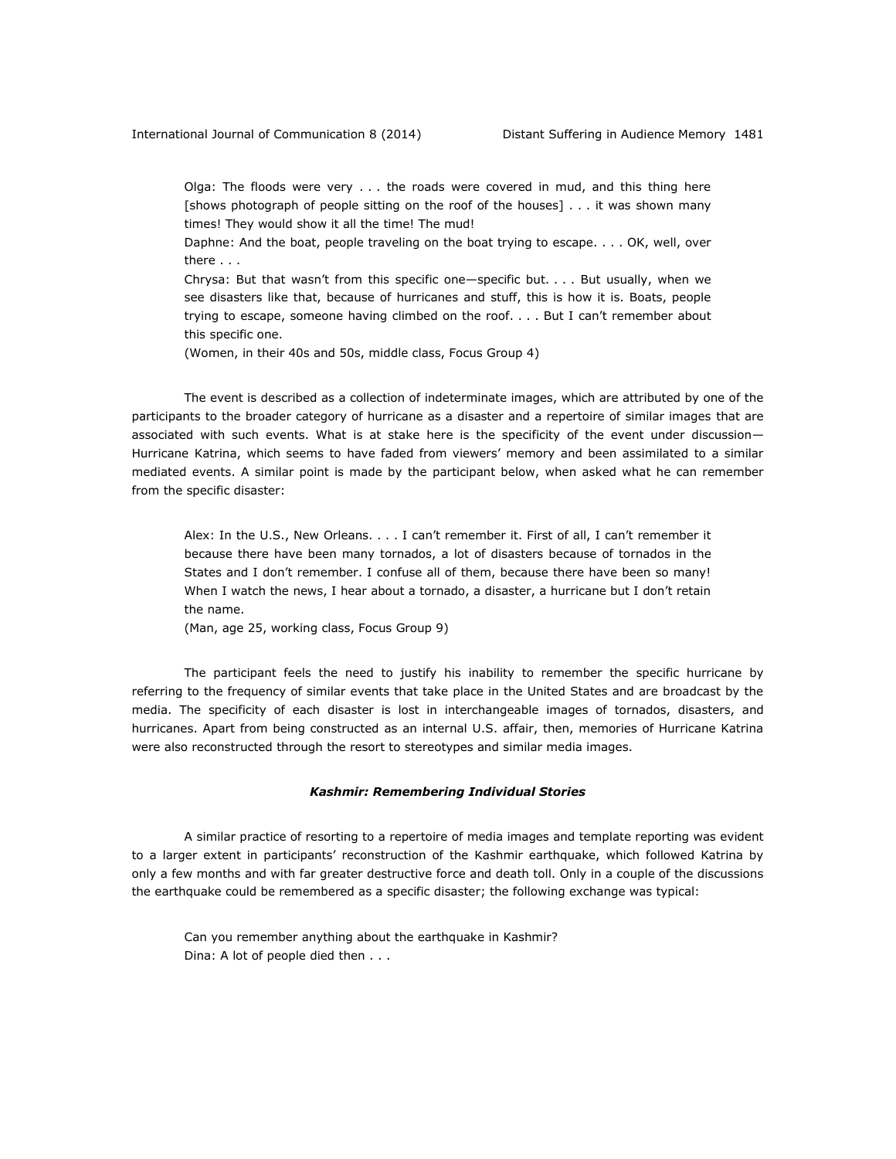Olga: The floods were very . . . the roads were covered in mud, and this thing here [shows photograph of people sitting on the roof of the houses] . . . it was shown many times! They would show it all the time! The mud!

Daphne: And the boat, people traveling on the boat trying to escape. . . . OK, well, over there . . .

Chrysa: But that wasn't from this specific one—specific but. . . . But usually, when we see disasters like that, because of hurricanes and stuff, this is how it is. Boats, people trying to escape, someone having climbed on the roof. . . . But I can't remember about this specific one.

(Women, in their 40s and 50s, middle class, Focus Group 4)

The event is described as a collection of indeterminate images, which are attributed by one of the participants to the broader category of hurricane as a disaster and a repertoire of similar images that are associated with such events. What is at stake here is the specificity of the event under discussion— Hurricane Katrina, which seems to have faded from viewers' memory and been assimilated to a similar mediated events. A similar point is made by the participant below, when asked what he can remember from the specific disaster:

Alex: In the U.S., New Orleans. . . . I can't remember it. First of all, I can't remember it because there have been many tornados, a lot of disasters because of tornados in the States and I don't remember. I confuse all of them, because there have been so many! When I watch the news, I hear about a tornado, a disaster, a hurricane but I don't retain the name.

(Man, age 25, working class, Focus Group 9)

The participant feels the need to justify his inability to remember the specific hurricane by referring to the frequency of similar events that take place in the United States and are broadcast by the media. The specificity of each disaster is lost in interchangeable images of tornados, disasters, and hurricanes. Apart from being constructed as an internal U.S. affair, then, memories of Hurricane Katrina were also reconstructed through the resort to stereotypes and similar media images.

#### *Kashmir: Remembering Individual Stories*

A similar practice of resorting to a repertoire of media images and template reporting was evident to a larger extent in participants' reconstruction of the Kashmir earthquake, which followed Katrina by only a few months and with far greater destructive force and death toll. Only in a couple of the discussions the earthquake could be remembered as a specific disaster; the following exchange was typical:

Can you remember anything about the earthquake in Kashmir? Dina: A lot of people died then . . .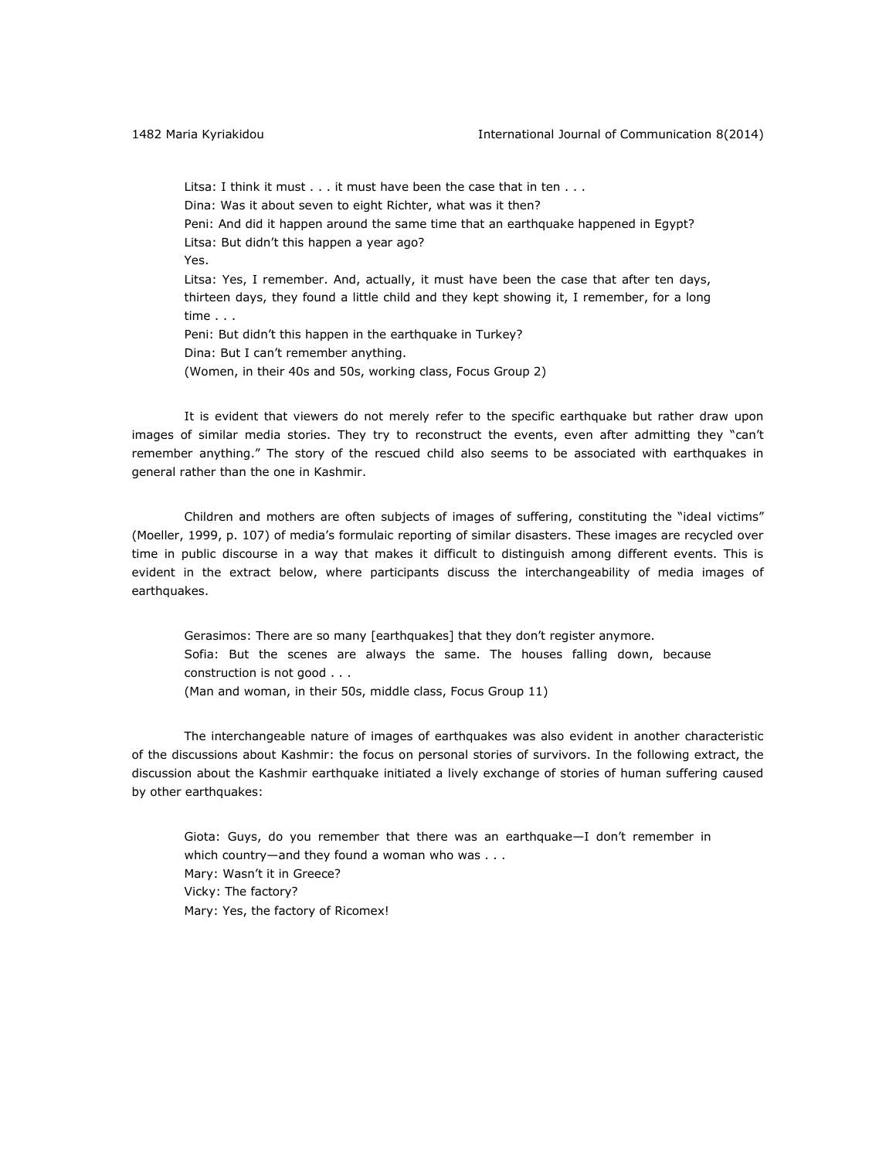Litsa: I think it must . . . it must have been the case that in ten . . . Dina: Was it about seven to eight Richter, what was it then? Peni: And did it happen around the same time that an earthquake happened in Egypt? Litsa: But didn't this happen a year ago? Yes. Litsa: Yes, I remember. And, actually, it must have been the case that after ten days, thirteen days, they found a little child and they kept showing it, I remember, for a long time . . . Peni: But didn't this happen in the earthquake in Turkey? Dina: But I can't remember anything.

(Women, in their 40s and 50s, working class, Focus Group 2)

It is evident that viewers do not merely refer to the specific earthquake but rather draw upon images of similar media stories. They try to reconstruct the events, even after admitting they "can't remember anything." The story of the rescued child also seems to be associated with earthquakes in general rather than the one in Kashmir.

Children and mothers are often subjects of images of suffering, constituting the "ideal victims" (Moeller, 1999, p. 107) of media's formulaic reporting of similar disasters. These images are recycled over time in public discourse in a way that makes it difficult to distinguish among different events. This is evident in the extract below, where participants discuss the interchangeability of media images of earthquakes.

Gerasimos: There are so many [earthquakes] that they don't register anymore. Sofia: But the scenes are always the same. The houses falling down, because construction is not good . . . (Man and woman, in their 50s, middle class, Focus Group 11)

The interchangeable nature of images of earthquakes was also evident in another characteristic of the discussions about Kashmir: the focus on personal stories of survivors. In the following extract, the discussion about the Kashmir earthquake initiated a lively exchange of stories of human suffering caused by other earthquakes:

Giota: Guys, do you remember that there was an earthquake—I don't remember in which country—and they found a woman who was . . . Mary: Wasn't it in Greece? Vicky: The factory? Mary: Yes, the factory of Ricomex!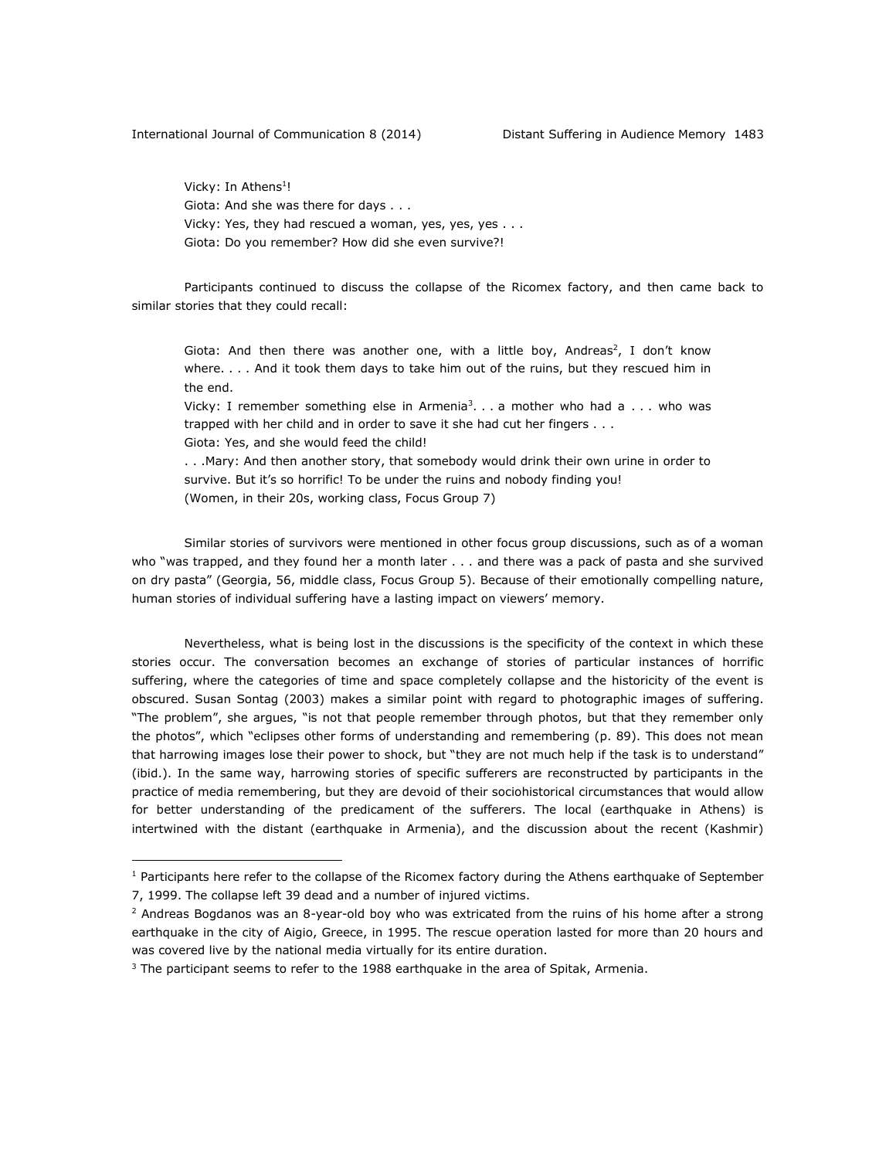Vicky: In Athens<sup>1</sup>! Giota: And she was there for days . . . Vicky: Yes, they had rescued a woman, yes, yes, yes . . . Giota: Do you remember? How did she even survive?!

Participants continued to discuss the collapse of the Ricomex factory, and then came back to similar stories that they could recall:

Giota: And then there was another one, with a little boy, Andreas<sup>2</sup>, I don't know where. . . . And it took them days to take him out of the ruins, but they rescued him in the end.

Vicky: I remember something else in Armenia<sup>3</sup>... a mother who had a ... who was trapped with her child and in order to save it she had cut her fingers . . .

Giota: Yes, and she would feed the child!

 $\overline{a}$ 

. . .Mary: And then another story, that somebody would drink their own urine in order to survive. But it's so horrific! To be under the ruins and nobody finding you!

(Women, in their 20s, working class, Focus Group 7)

Similar stories of survivors were mentioned in other focus group discussions, such as of a woman who "was trapped, and they found her a month later . . . and there was a pack of pasta and she survived on dry pasta" (Georgia, 56, middle class, Focus Group 5). Because of their emotionally compelling nature, human stories of individual suffering have a lasting impact on viewers' memory*.* 

Nevertheless, what is being lost in the discussions is the specificity of the context in which these stories occur. The conversation becomes an exchange of stories of particular instances of horrific suffering, where the categories of time and space completely collapse and the historicity of the event is obscured. Susan Sontag (2003) makes a similar point with regard to photographic images of suffering. "The problem", she argues, "is not that people remember through photos, but that they remember only the photos", which "eclipses other forms of understanding and remembering (p. 89). This does not mean that harrowing images lose their power to shock, but "they are not much help if the task is to understand" (ibid.). In the same way, harrowing stories of specific sufferers are reconstructed by participants in the practice of media remembering, but they are devoid of their sociohistorical circumstances that would allow for better understanding of the predicament of the sufferers. The local (earthquake in Athens) is intertwined with the distant (earthquake in Armenia), and the discussion about the recent (Kashmir)

 $1$  Participants here refer to the collapse of the Ricomex factory during the Athens earthquake of September 7, 1999. The collapse left 39 dead and a number of injured victims.

 $<sup>2</sup>$  Andreas Bogdanos was an 8-year-old boy who was extricated from the ruins of his home after a strong</sup> earthquake in the city of Aigio, Greece, in 1995. The rescue operation lasted for more than 20 hours and was covered live by the national media virtually for its entire duration.

 $3$  The participant seems to refer to the 1988 earthquake in the area of Spitak, Armenia.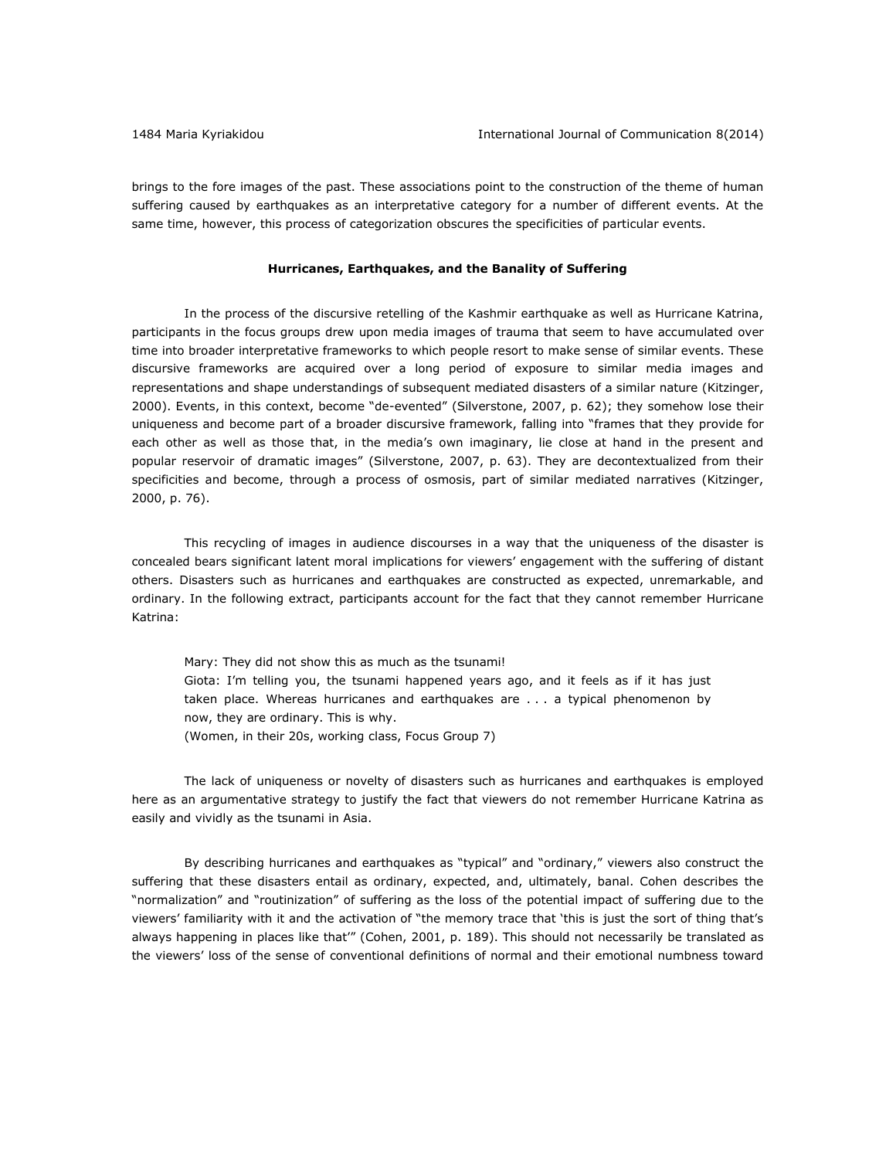brings to the fore images of the past. These associations point to the construction of the theme of human suffering caused by earthquakes as an interpretative category for a number of different events. At the same time, however, this process of categorization obscures the specificities of particular events.

#### **Hurricanes, Earthquakes, and the Banality of Suffering**

In the process of the discursive retelling of the Kashmir earthquake as well as Hurricane Katrina, participants in the focus groups drew upon media images of trauma that seem to have accumulated over time into broader interpretative frameworks to which people resort to make sense of similar events. These discursive frameworks are acquired over a long period of exposure to similar media images and representations and shape understandings of subsequent mediated disasters of a similar nature (Kitzinger, 2000). Events, in this context, become "de-evented" (Silverstone, 2007, p. 62); they somehow lose their uniqueness and become part of a broader discursive framework, falling into "frames that they provide for each other as well as those that, in the media's own imaginary, lie close at hand in the present and popular reservoir of dramatic images" (Silverstone, 2007, p. 63). They are decontextualized from their specificities and become, through a process of osmosis, part of similar mediated narratives (Kitzinger, 2000, p. 76).

This recycling of images in audience discourses in a way that the uniqueness of the disaster is concealed bears significant latent moral implications for viewers' engagement with the suffering of distant others. Disasters such as hurricanes and earthquakes are constructed as expected, unremarkable, and ordinary. In the following extract, participants account for the fact that they cannot remember Hurricane Katrina:

Mary: They did not show this as much as the tsunami! Giota: I'm telling you, the tsunami happened years ago, and it feels as if it has just taken place. Whereas hurricanes and earthquakes are . . . a typical phenomenon by now, they are ordinary. This is why. (Women, in their 20s, working class, Focus Group 7)

The lack of uniqueness or novelty of disasters such as hurricanes and earthquakes is employed here as an argumentative strategy to justify the fact that viewers do not remember Hurricane Katrina as easily and vividly as the tsunami in Asia.

By describing hurricanes and earthquakes as "typical" and "ordinary," viewers also construct the suffering that these disasters entail as ordinary, expected, and, ultimately, banal. Cohen describes the "normalization" and "routinization" of suffering as the loss of the potential impact of suffering due to the viewers' familiarity with it and the activation of "the memory trace that 'this is just the sort of thing that's always happening in places like that'" (Cohen, 2001, p. 189). This should not necessarily be translated as the viewers' loss of the sense of conventional definitions of normal and their emotional numbness toward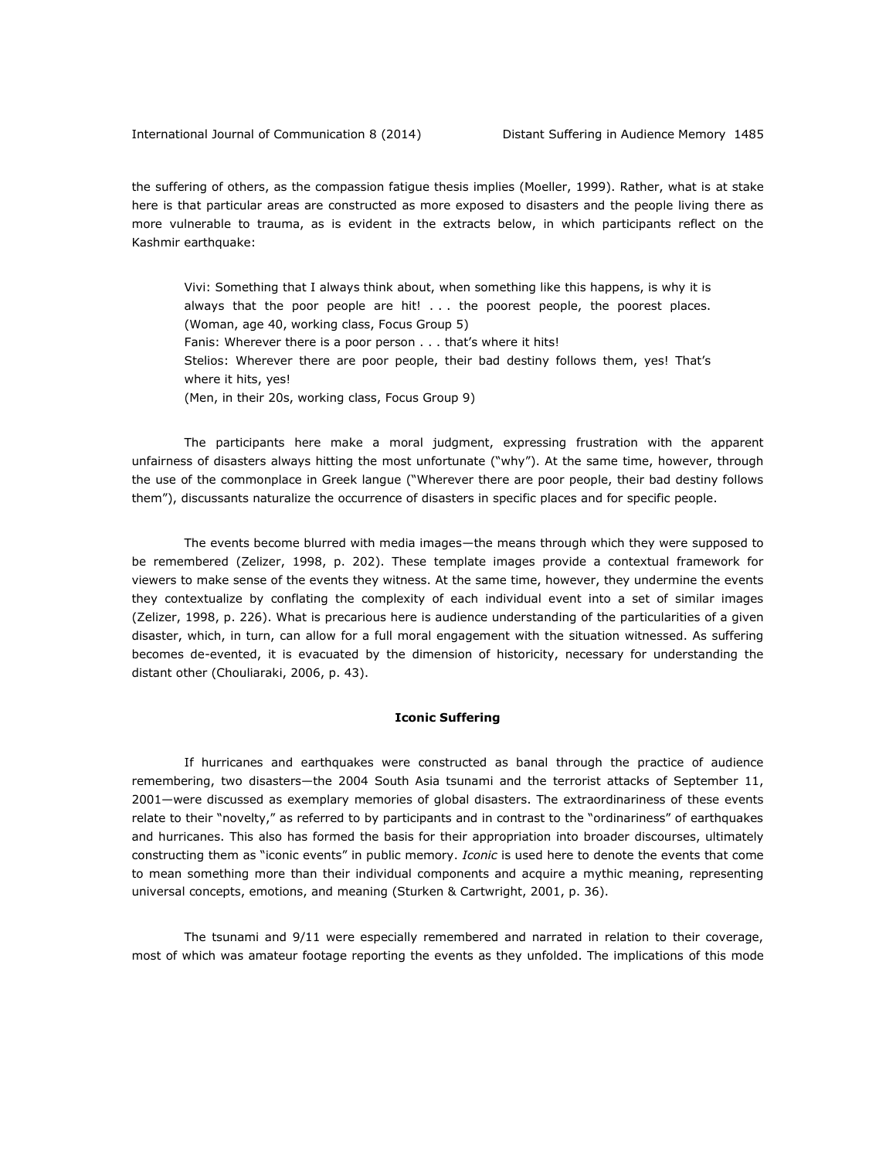the suffering of others, as the compassion fatigue thesis implies (Moeller, 1999). Rather, what is at stake here is that particular areas are constructed as more exposed to disasters and the people living there as more vulnerable to trauma, as is evident in the extracts below, in which participants reflect on the Kashmir earthquake:

Vivi: Something that I always think about, when something like this happens, is why it is always that the poor people are hit! . . . the poorest people, the poorest places. (Woman, age 40, working class, Focus Group 5) Fanis: Wherever there is a poor person . . . that's where it hits! Stelios: Wherever there are poor people, their bad destiny follows them, yes! That's where it hits, yes! (Men, in their 20s, working class, Focus Group 9)

The participants here make a moral judgment, expressing frustration with the apparent unfairness of disasters always hitting the most unfortunate ("why"). At the same time, however, through the use of the commonplace in Greek langue ("Wherever there are poor people, their bad destiny follows them"), discussants naturalize the occurrence of disasters in specific places and for specific people.

The events become blurred with media images—the means through which they were supposed to be remembered (Zelizer, 1998, p. 202). These template images provide a contextual framework for viewers to make sense of the events they witness. At the same time, however, they undermine the events they contextualize by conflating the complexity of each individual event into a set of similar images (Zelizer, 1998, p. 226). What is precarious here is audience understanding of the particularities of a given disaster, which, in turn, can allow for a full moral engagement with the situation witnessed. As suffering becomes de-evented, it is evacuated by the dimension of historicity, necessary for understanding the distant other (Chouliaraki, 2006, p. 43).

#### **Iconic Suffering**

If hurricanes and earthquakes were constructed as banal through the practice of audience remembering, two disasters—the 2004 South Asia tsunami and the terrorist attacks of September 11, 2001—were discussed as exemplary memories of global disasters. The extraordinariness of these events relate to their "novelty," as referred to by participants and in contrast to the "ordinariness" of earthquakes and hurricanes. This also has formed the basis for their appropriation into broader discourses, ultimately constructing them as "iconic events" in public memory. *Iconic* is used here to denote the events that come to mean something more than their individual components and acquire a mythic meaning, representing universal concepts, emotions, and meaning (Sturken & Cartwright, 2001, p. 36).

The tsunami and 9/11 were especially remembered and narrated in relation to their coverage, most of which was amateur footage reporting the events as they unfolded. The implications of this mode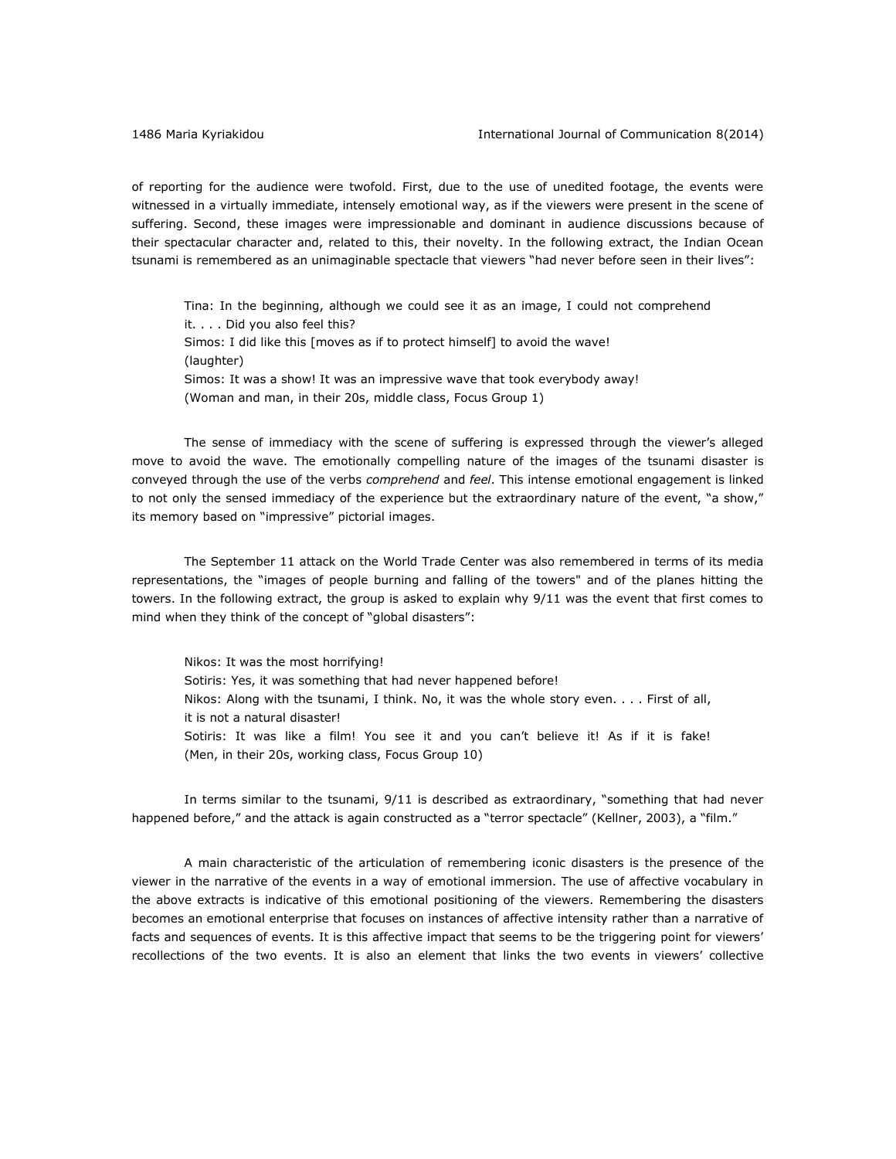of reporting for the audience were twofold. First, due to the use of unedited footage, the events were witnessed in a virtually immediate, intensely emotional way, as if the viewers were present in the scene of suffering. Second, these images were impressionable and dominant in audience discussions because of their spectacular character and, related to this, their novelty. In the following extract, the Indian Ocean tsunami is remembered as an unimaginable spectacle that viewers "had never before seen in their lives":

Tina: In the beginning, although we could see it as an image, I could not comprehend it. . . . Did you also feel this? Simos: I did like this [moves as if to protect himself] to avoid the wave! (laughter) Simos: It was a show! It was an impressive wave that took everybody away! (Woman and man, in their 20s, middle class, Focus Group 1)

The sense of immediacy with the scene of suffering is expressed through the viewer's alleged move to avoid the wave. The emotionally compelling nature of the images of the tsunami disaster is conveyed through the use of the verbs *comprehend* and *feel*. This intense emotional engagement is linked to not only the sensed immediacy of the experience but the extraordinary nature of the event, "a show," its memory based on "impressive" pictorial images.

The September 11 attack on the World Trade Center was also remembered in terms of its media representations, the "images of people burning and falling of the towers" and of the planes hitting the towers. In the following extract, the group is asked to explain why 9/11 was the event that first comes to mind when they think of the concept of "global disasters":

Nikos: It was the most horrifying! Sotiris: Yes, it was something that had never happened before! Nikos: Along with the tsunami, I think. No, it was the whole story even. . . . First of all, it is not a natural disaster! Sotiris: It was like a film! You see it and you can't believe it! As if it is fake! (Men, in their 20s, working class, Focus Group 10)

In terms similar to the tsunami, 9/11 is described as extraordinary, "something that had never happened before," and the attack is again constructed as a "terror spectacle" (Kellner, 2003), a "film."

A main characteristic of the articulation of remembering iconic disasters is the presence of the viewer in the narrative of the events in a way of emotional immersion. The use of affective vocabulary in the above extracts is indicative of this emotional positioning of the viewers. Remembering the disasters becomes an emotional enterprise that focuses on instances of affective intensity rather than a narrative of facts and sequences of events. It is this affective impact that seems to be the triggering point for viewers' recollections of the two events. It is also an element that links the two events in viewers' collective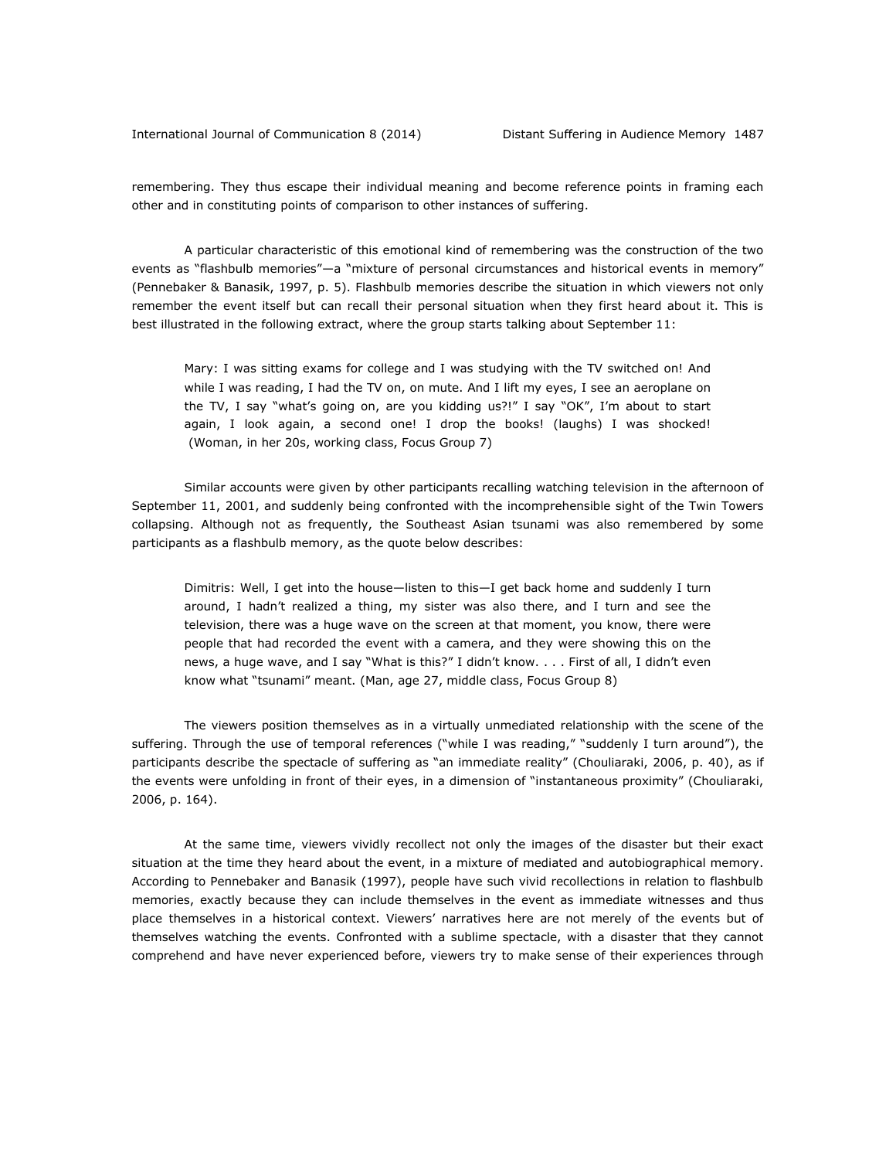remembering. They thus escape their individual meaning and become reference points in framing each other and in constituting points of comparison to other instances of suffering.

A particular characteristic of this emotional kind of remembering was the construction of the two events as "flashbulb memories"—a "mixture of personal circumstances and historical events in memory" (Pennebaker & Banasik, 1997, p. 5). Flashbulb memories describe the situation in which viewers not only remember the event itself but can recall their personal situation when they first heard about it. This is best illustrated in the following extract, where the group starts talking about September 11:

Mary: I was sitting exams for college and I was studying with the TV switched on! And while I was reading, I had the TV on, on mute. And I lift my eyes, I see an aeroplane on the TV, I say "what's going on, are you kidding us?!" I say "OK", I'm about to start again, I look again, a second one! I drop the books! (laughs) I was shocked! (Woman, in her 20s, working class, Focus Group 7)

Similar accounts were given by other participants recalling watching television in the afternoon of September 11, 2001, and suddenly being confronted with the incomprehensible sight of the Twin Towers collapsing. Although not as frequently, the Southeast Asian tsunami was also remembered by some participants as a flashbulb memory, as the quote below describes:

Dimitris: Well, I get into the house—listen to this—I get back home and suddenly I turn around, I hadn't realized a thing, my sister was also there, and I turn and see the television, there was a huge wave on the screen at that moment, you know, there were people that had recorded the event with a camera, and they were showing this on the news, a huge wave, and I say "What is this?" I didn't know. . . . First of all, I didn't even know what "tsunami" meant. (Man, age 27, middle class, Focus Group 8)

The viewers position themselves as in a virtually unmediated relationship with the scene of the suffering. Through the use of temporal references ("while I was reading," "suddenly I turn around"), the participants describe the spectacle of suffering as "an immediate reality" (Chouliaraki, 2006, p. 40), as if the events were unfolding in front of their eyes, in a dimension of "instantaneous proximity" (Chouliaraki, 2006, p. 164).

At the same time, viewers vividly recollect not only the images of the disaster but their exact situation at the time they heard about the event, in a mixture of mediated and autobiographical memory. According to Pennebaker and Banasik (1997), people have such vivid recollections in relation to flashbulb memories, exactly because they can include themselves in the event as immediate witnesses and thus place themselves in a historical context. Viewers' narratives here are not merely of the events but of themselves watching the events. Confronted with a sublime spectacle, with a disaster that they cannot comprehend and have never experienced before, viewers try to make sense of their experiences through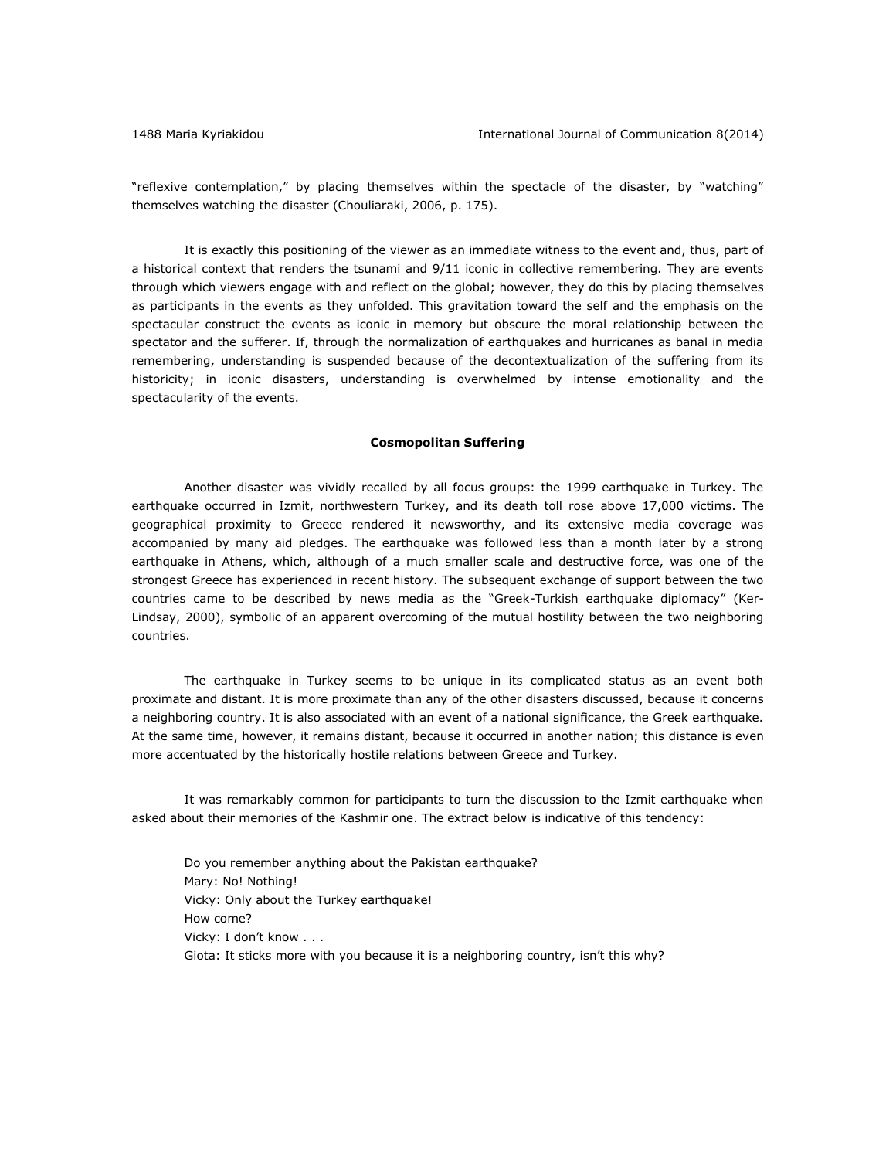"reflexive contemplation," by placing themselves within the spectacle of the disaster, by "watching" themselves watching the disaster (Chouliaraki, 2006, p. 175).

It is exactly this positioning of the viewer as an immediate witness to the event and, thus, part of a historical context that renders the tsunami and 9/11 iconic in collective remembering. They are events through which viewers engage with and reflect on the global; however, they do this by placing themselves as participants in the events as they unfolded. This gravitation toward the self and the emphasis on the spectacular construct the events as iconic in memory but obscure the moral relationship between the spectator and the sufferer. If, through the normalization of earthquakes and hurricanes as banal in media remembering, understanding is suspended because of the decontextualization of the suffering from its historicity; in iconic disasters, understanding is overwhelmed by intense emotionality and the spectacularity of the events.

#### **Cosmopolitan Suffering**

Another disaster was vividly recalled by all focus groups: the 1999 earthquake in Turkey. The earthquake occurred in Izmit, northwestern Turkey, and its death toll rose above 17,000 victims. The geographical proximity to Greece rendered it newsworthy, and its extensive media coverage was accompanied by many aid pledges. The earthquake was followed less than a month later by a strong earthquake in Athens, which, although of a much smaller scale and destructive force, was one of the strongest Greece has experienced in recent history. The subsequent exchange of support between the two countries came to be described by news media as the "Greek-Turkish earthquake diplomacy" (Ker-Lindsay, 2000), symbolic of an apparent overcoming of the mutual hostility between the two neighboring countries.

The earthquake in Turkey seems to be unique in its complicated status as an event both proximate and distant. It is more proximate than any of the other disasters discussed, because it concerns a neighboring country. It is also associated with an event of a national significance, the Greek earthquake. At the same time, however, it remains distant, because it occurred in another nation; this distance is even more accentuated by the historically hostile relations between Greece and Turkey.

It was remarkably common for participants to turn the discussion to the Izmit earthquake when asked about their memories of the Kashmir one. The extract below is indicative of this tendency:

Do you remember anything about the Pakistan earthquake? Mary: No! Nothing! Vicky: Only about the Turkey earthquake! How come? Vicky: I don't know . . . Giota: It sticks more with you because it is a neighboring country, isn't this why?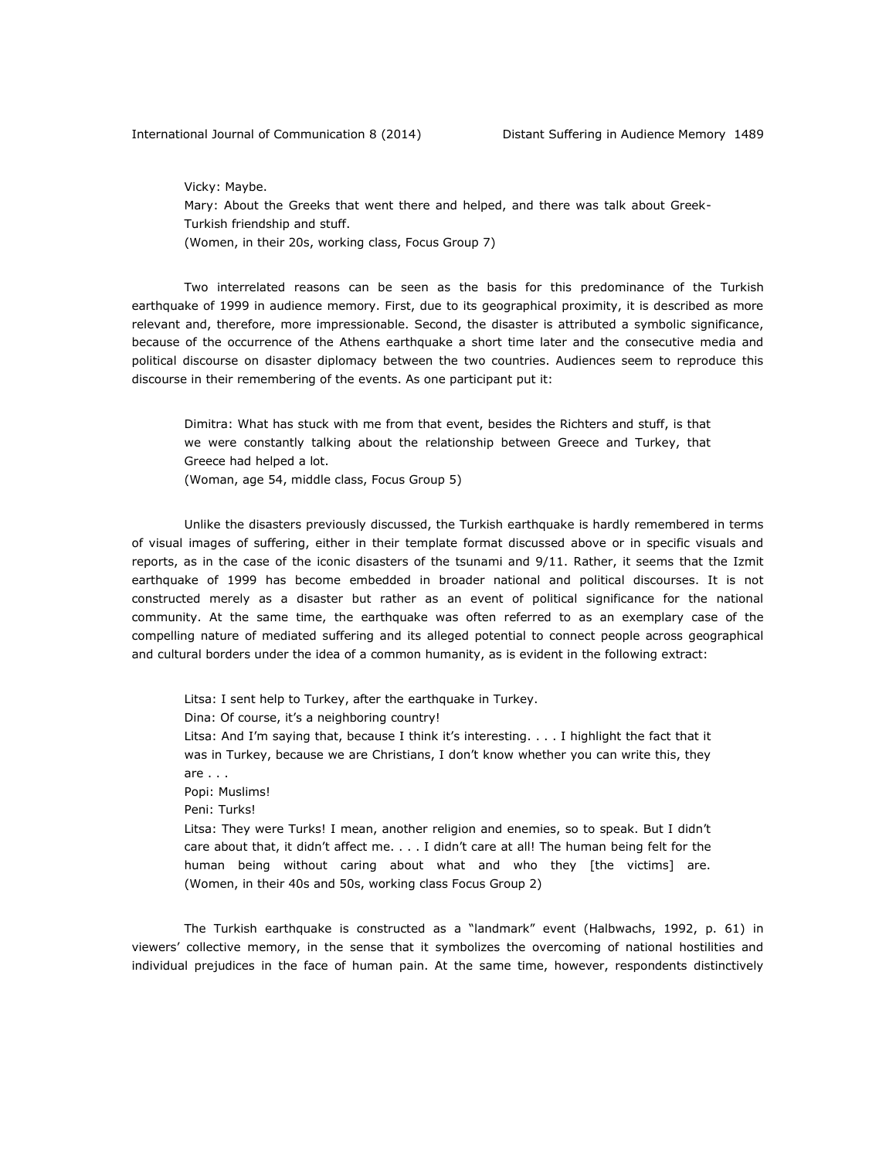Vicky: Maybe. Mary: About the Greeks that went there and helped, and there was talk about Greek-Turkish friendship and stuff. (Women, in their 20s, working class, Focus Group 7)

Two interrelated reasons can be seen as the basis for this predominance of the Turkish earthquake of 1999 in audience memory. First, due to its geographical proximity, it is described as more relevant and, therefore, more impressionable. Second, the disaster is attributed a symbolic significance, because of the occurrence of the Athens earthquake a short time later and the consecutive media and political discourse on disaster diplomacy between the two countries. Audiences seem to reproduce this discourse in their remembering of the events. As one participant put it:

Dimitra: What has stuck with me from that event, besides the Richters and stuff, is that we were constantly talking about the relationship between Greece and Turkey, that Greece had helped a lot. (Woman, age 54, middle class, Focus Group 5)

Unlike the disasters previously discussed, the Turkish earthquake is hardly remembered in terms of visual images of suffering, either in their template format discussed above or in specific visuals and reports, as in the case of the iconic disasters of the tsunami and 9/11. Rather, it seems that the Izmit earthquake of 1999 has become embedded in broader national and political discourses. It is not constructed merely as a disaster but rather as an event of political significance for the national community. At the same time, the earthquake was often referred to as an exemplary case of the compelling nature of mediated suffering and its alleged potential to connect people across geographical and cultural borders under the idea of a common humanity, as is evident in the following extract:

Litsa: I sent help to Turkey, after the earthquake in Turkey. Dina: Of course, it's a neighboring country! Litsa: And I'm saying that, because I think it's interesting. . . . I highlight the fact that it was in Turkey, because we are Christians, I don't know whether you can write this, they are . . . Popi: Muslims! Peni: Turks! Litsa: They were Turks! I mean, another religion and enemies, so to speak. But I didn't care about that, it didn't affect me. . . . I didn't care at all! The human being felt for the human being without caring about what and who they [the victims] are. (Women, in their 40s and 50s, working class Focus Group 2)

The Turkish earthquake is constructed as a "landmark" event (Halbwachs, 1992, p. 61) in viewers' collective memory, in the sense that it symbolizes the overcoming of national hostilities and individual prejudices in the face of human pain. At the same time, however, respondents distinctively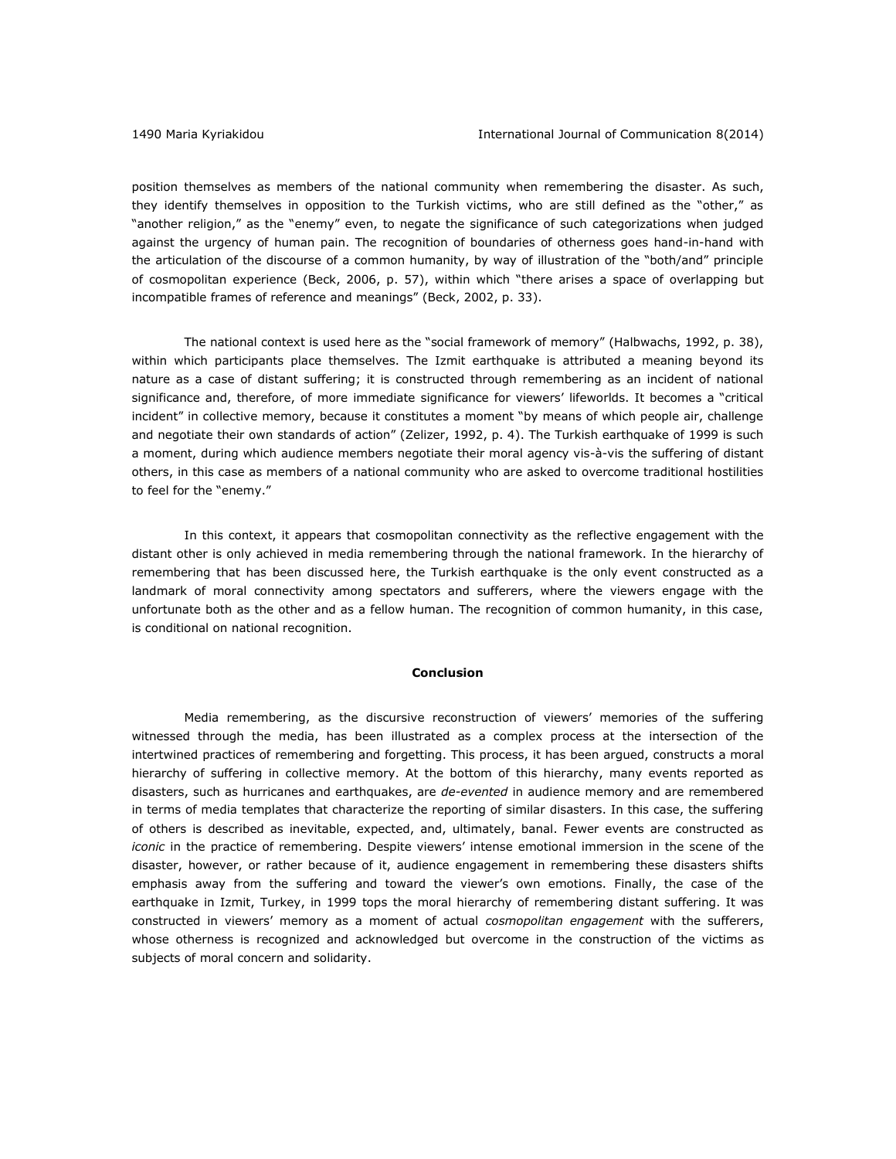position themselves as members of the national community when remembering the disaster. As such, they identify themselves in opposition to the Turkish victims, who are still defined as the "other," as "another religion," as the "enemy" even, to negate the significance of such categorizations when judged against the urgency of human pain. The recognition of boundaries of otherness goes hand-in-hand with the articulation of the discourse of a common humanity, by way of illustration of the "both/and" principle of cosmopolitan experience (Beck, 2006, p. 57), within which "there arises a space of overlapping but incompatible frames of reference and meanings" (Beck, 2002, p. 33).

The national context is used here as the "social framework of memory" (Halbwachs, 1992, p. 38), within which participants place themselves. The Izmit earthquake is attributed a meaning beyond its nature as a case of distant suffering; it is constructed through remembering as an incident of national significance and, therefore, of more immediate significance for viewers' lifeworlds. It becomes a "critical incident" in collective memory, because it constitutes a moment "by means of which people air, challenge and negotiate their own standards of action" (Zelizer, 1992, p. 4). The Turkish earthquake of 1999 is such a moment, during which audience members negotiate their moral agency vis-à-vis the suffering of distant others, in this case as members of a national community who are asked to overcome traditional hostilities to feel for the "enemy."

In this context, it appears that cosmopolitan connectivity as the reflective engagement with the distant other is only achieved in media remembering through the national framework. In the hierarchy of remembering that has been discussed here, the Turkish earthquake is the only event constructed as a landmark of moral connectivity among spectators and sufferers, where the viewers engage with the unfortunate both as the other and as a fellow human. The recognition of common humanity, in this case, is conditional on national recognition.

#### **Conclusion**

Media remembering, as the discursive reconstruction of viewers' memories of the suffering witnessed through the media, has been illustrated as a complex process at the intersection of the intertwined practices of remembering and forgetting. This process, it has been argued, constructs a moral hierarchy of suffering in collective memory. At the bottom of this hierarchy, many events reported as disasters, such as hurricanes and earthquakes, are *de-evented* in audience memory and are remembered in terms of media templates that characterize the reporting of similar disasters. In this case, the suffering of others is described as inevitable, expected, and, ultimately, banal. Fewer events are constructed as *iconic* in the practice of remembering. Despite viewers' intense emotional immersion in the scene of the disaster, however, or rather because of it, audience engagement in remembering these disasters shifts emphasis away from the suffering and toward the viewer's own emotions. Finally, the case of the earthquake in Izmit, Turkey, in 1999 tops the moral hierarchy of remembering distant suffering. It was constructed in viewers' memory as a moment of actual *cosmopolitan engagement* with the sufferers, whose otherness is recognized and acknowledged but overcome in the construction of the victims as subjects of moral concern and solidarity.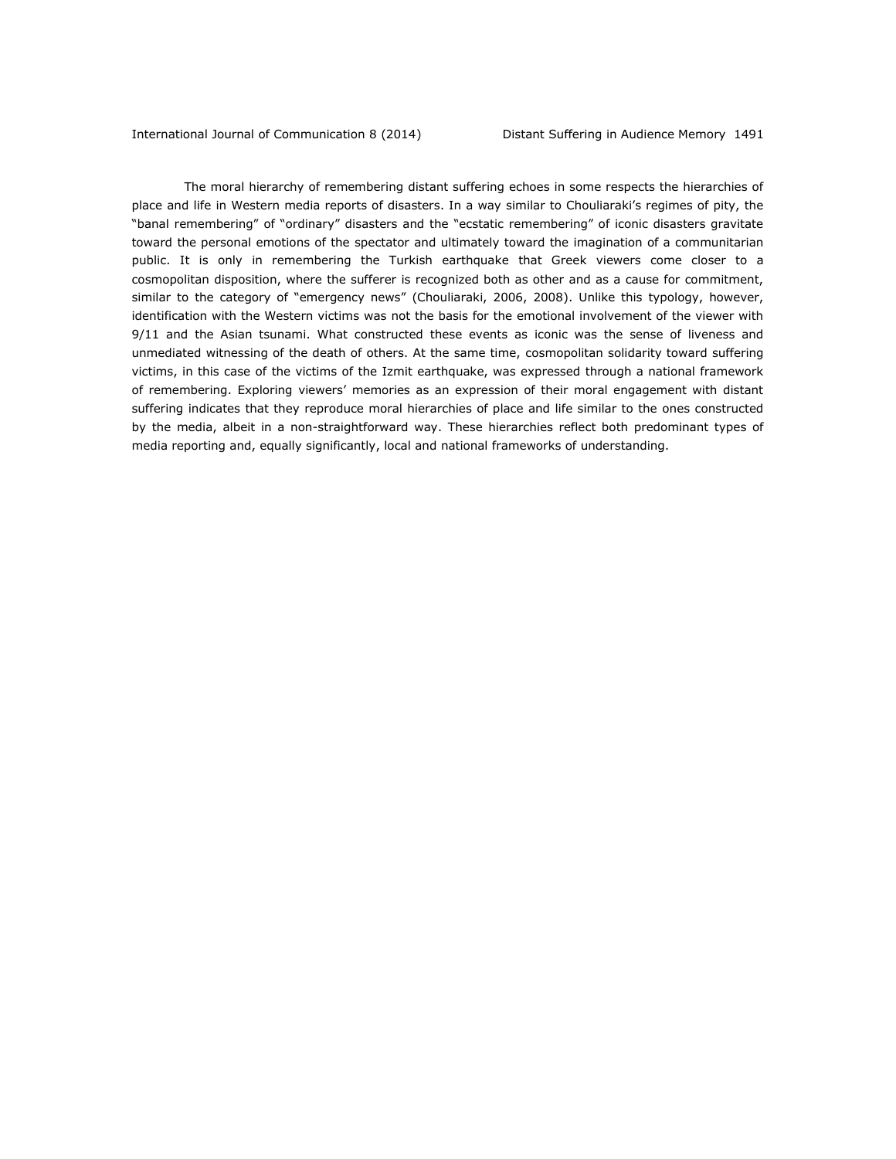The moral hierarchy of remembering distant suffering echoes in some respects the hierarchies of place and life in Western media reports of disasters. In a way similar to Chouliaraki's regimes of pity, the "banal remembering" of "ordinary" disasters and the "ecstatic remembering" of iconic disasters gravitate toward the personal emotions of the spectator and ultimately toward the imagination of a communitarian public. It is only in remembering the Turkish earthquake that Greek viewers come closer to a cosmopolitan disposition, where the sufferer is recognized both as other and as a cause for commitment, similar to the category of "emergency news" (Chouliaraki, 2006, 2008). Unlike this typology, however, identification with the Western victims was not the basis for the emotional involvement of the viewer with 9/11 and the Asian tsunami. What constructed these events as iconic was the sense of liveness and unmediated witnessing of the death of others. At the same time, cosmopolitan solidarity toward suffering victims, in this case of the victims of the Izmit earthquake, was expressed through a national framework of remembering. Exploring viewers' memories as an expression of their moral engagement with distant suffering indicates that they reproduce moral hierarchies of place and life similar to the ones constructed by the media, albeit in a non-straightforward way. These hierarchies reflect both predominant types of media reporting and, equally significantly, local and national frameworks of understanding.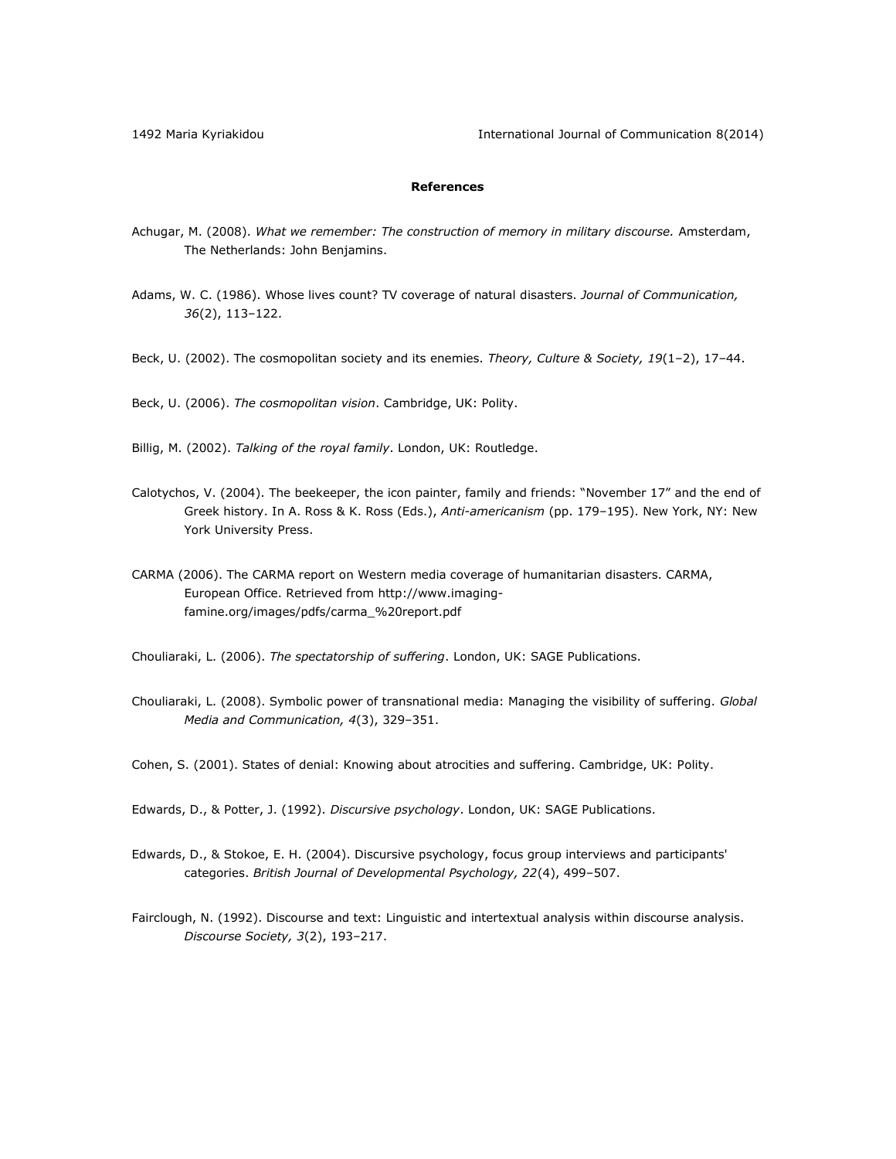1492 Maria Kyriakidou International Journal of Communication 8(2014)

## **References**

- Achugar, M. (2008). *What we remember: The construction of memory in military discourse.* Amsterdam, The Netherlands: John Benjamins.
- Adams, W. C. (1986). Whose lives count? TV coverage of natural disasters. *Journal of Communication, 36*(2), 113–122.
- Beck, U. (2002). The cosmopolitan society and its enemies. *Theory, Culture & Society, 19*(1–2), 17–44.
- Beck, U. (2006). *The cosmopolitan vision*. Cambridge, UK: Polity.
- Billig, M. (2002). *Talking of the royal family*. London, UK: Routledge.
- Calotychos, V. (2004). The beekeeper, the icon painter, family and friends: "November 17" and the end of Greek history. In A. Ross & K. Ross (Eds.), *Anti-americanism* (pp. 179–195). New York, NY: New York University Press.
- CARMA (2006). The CARMA report on Western media coverage of humanitarian disasters. CARMA, European Office. Retrieved from [http://www.imaging](http://www.imaging-famine.org/images/pdfs/carma_%20report.pdf)[famine.org/images/pdfs/carma\\_%20report.pdf](http://www.imaging-famine.org/images/pdfs/carma_%20report.pdf)

Chouliaraki, L. (2006). *The spectatorship of suffering*. London, UK: SAGE Publications.

- Chouliaraki, L. (2008). Symbolic power of transnational media: Managing the visibility of suffering. *Global Media and Communication, 4*(3), 329–351.
- Cohen, S. (2001). States of denial: Knowing about atrocities and suffering. Cambridge, UK: Polity.
- Edwards, D., & Potter, J. (1992). *Discursive psychology*. London, UK: SAGE Publications.
- Edwards, D., & Stokoe, E. H. (2004). Discursive psychology, focus group interviews and participants' categories. *British Journal of Developmental Psychology, 22*(4), 499–507.
- Fairclough, N. (1992). Discourse and text: Linguistic and intertextual analysis within discourse analysis. *Discourse Society, 3*(2), 193–217.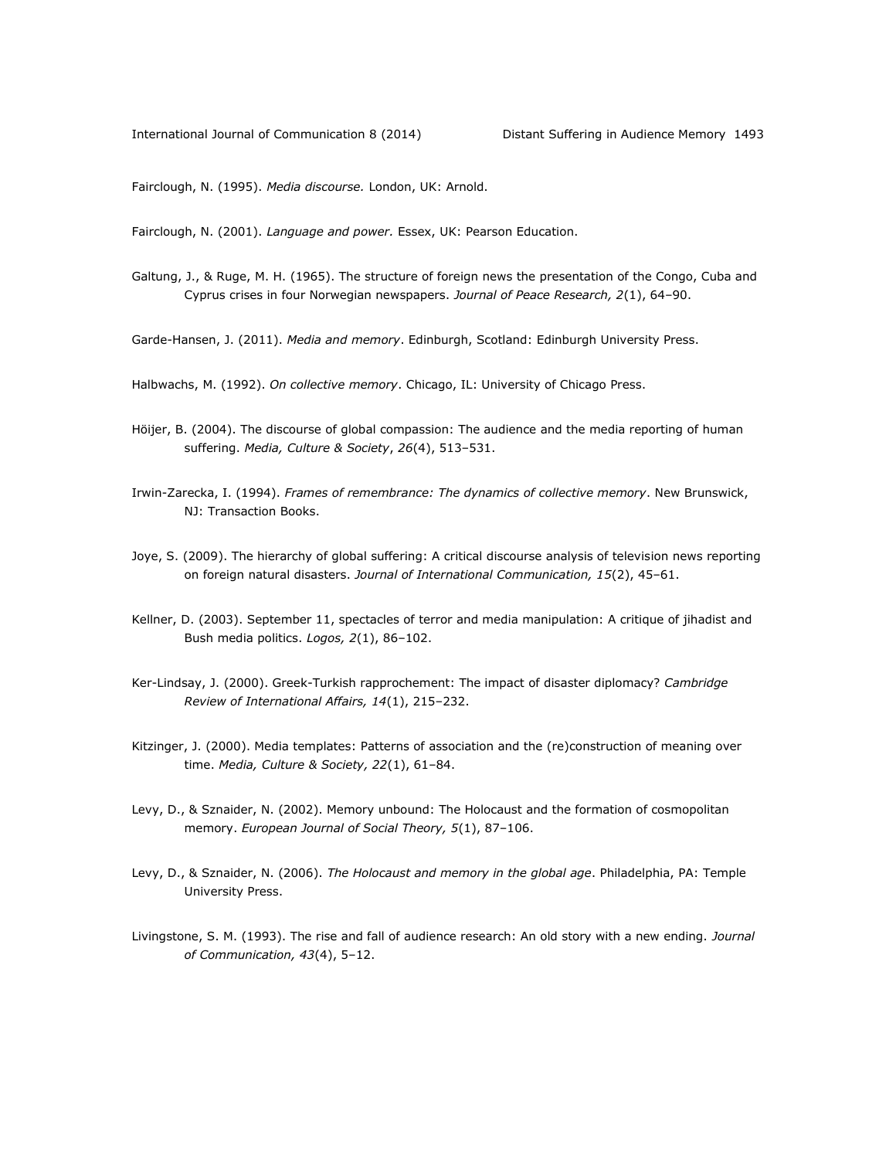Fairclough, N. (1995). *Media discourse.* London, UK: Arnold.

Fairclough, N. (2001). *Language and power.* Essex, UK: Pearson Education.

Galtung, J., & Ruge, M. H. (1965). The structure of foreign news the presentation of the Congo, Cuba and Cyprus crises in four Norwegian newspapers. *Journal of Peace Research, 2*(1), 64–90.

Garde-Hansen, J. (2011). *Media and memory*. Edinburgh, Scotland: Edinburgh University Press.

Halbwachs, M. (1992). *On collective memory*. Chicago, IL: University of Chicago Press.

- Höijer, B. (2004). The discourse of global compassion: The audience and the media reporting of human suffering. *Media, Culture & Society*, *26*(4), 513–531.
- Irwin-Zarecka, I. (1994). *Frames of remembrance: The dynamics of collective memory*. New Brunswick, NJ: Transaction Books.
- Joye, S. (2009). The hierarchy of global suffering: A critical discourse analysis of television news reporting on foreign natural disasters. *Journal of International Communication, 15*(2), 45–61.
- Kellner, D. (2003). September 11, spectacles of terror and media manipulation: A critique of jihadist and Bush media politics. *Logos, 2*(1), 86–102.
- Ker-Lindsay, J. (2000). Greek-Turkish rapprochement: The impact of disaster diplomacy? *Cambridge Review of International Affairs, 14*(1), 215–232.
- Kitzinger, J. (2000). Media templates: Patterns of association and the (re)construction of meaning over time. *Media, Culture & Society, 22*(1), 61–84.
- Levy, D., & Sznaider, N. (2002). Memory unbound: The Holocaust and the formation of cosmopolitan memory. *European Journal of Social Theory, 5*(1), 87–106.
- Levy, D., & Sznaider, N. (2006). *The Holocaust and memory in the global age*. Philadelphia, PA: Temple University Press.
- Livingstone, S. M. (1993). The rise and fall of audience research: An old story with a new ending. *Journal of Communication, 43*(4), 5–12.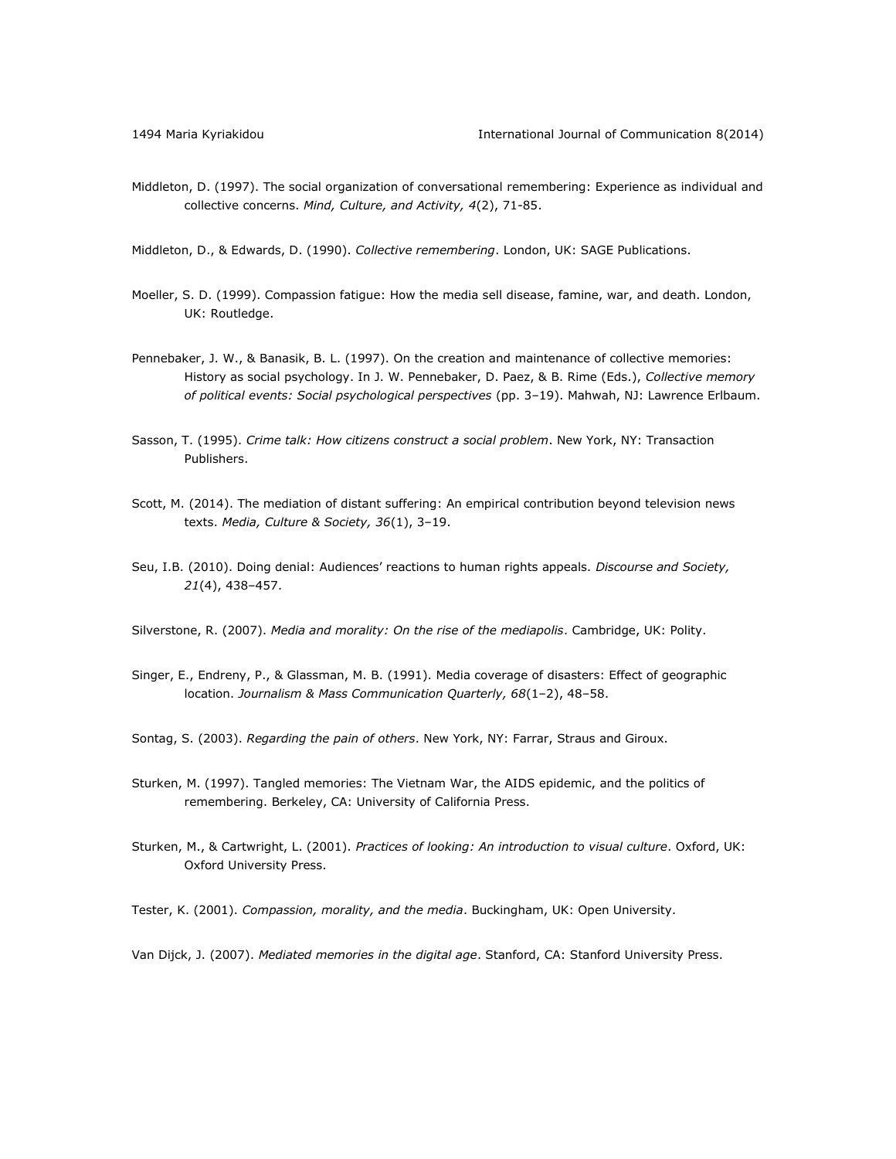Middleton, D. (1997). The social organization of conversational remembering: Experience as individual and collective concerns. *Mind, Culture, and Activity, 4*(2), 71-85.

Middleton, D., & Edwards, D. (1990). *Collective remembering*. London, UK: SAGE Publications.

- Moeller, S. D. (1999). Compassion fatigue: How the media sell disease, famine, war, and death. London, UK: Routledge.
- Pennebaker, J. W., & Banasik, B. L. (1997). On the creation and maintenance of collective memories: History as social psychology. In J. W. Pennebaker, D. Paez, & B. Rime (Eds.), *Collective memory of political events: Social psychological perspectives* (pp. 3–19). Mahwah, NJ: Lawrence Erlbaum.
- Sasson, T. (1995). *Crime talk: How citizens construct a social problem*. New York, NY: Transaction Publishers.
- Scott, M. (2014). The mediation of distant suffering: An empirical contribution beyond television news texts. *Media, Culture & Society, 36*(1), 3–19.
- Seu, I.B. (2010). Doing denial: Audiences' reactions to human rights appeals. *Discourse and Society, 21*(4), 438–457.
- Silverstone, R. (2007). *Media and morality: On the rise of the mediapolis*. Cambridge, UK: Polity.
- Singer, E., Endreny, P., & Glassman, M. B. (1991). Media coverage of disasters: Effect of geographic location. *Journalism & Mass Communication Quarterly, 68*(1–2), 48–58.
- Sontag, S. (2003). *Regarding the pain of others*. New York, NY: Farrar, Straus and Giroux.
- Sturken, M. (1997). Tangled memories: The Vietnam War, the AIDS epidemic, and the politics of remembering. Berkeley, CA: University of California Press.
- Sturken, M., & Cartwright, L. (2001). *Practices of looking: An introduction to visual culture*. Oxford, UK: Oxford University Press.

Tester, K. (2001). *Compassion, morality, and the media*. Buckingham, UK: Open University.

Van Dijck, J. (2007). *Mediated memories in the digital age*. Stanford, CA: Stanford University Press.